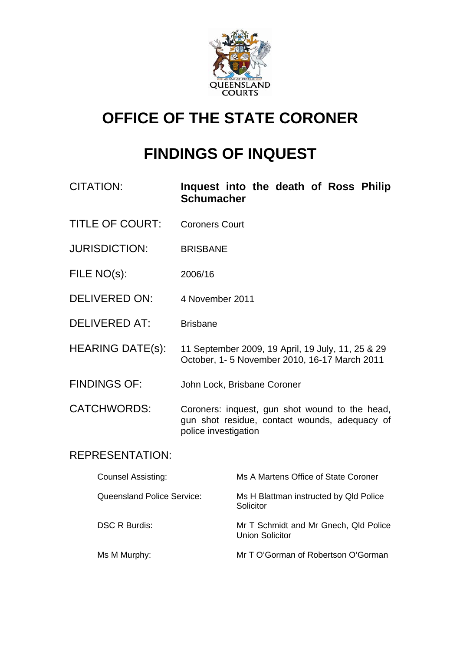

# **OFFICE OF THE STATE CORONER**

# **FINDINGS OF INQUEST**

| <b>CITATION:</b>        | Inquest into the death of Ross Philip<br><b>Schumacher</b>                                                              |
|-------------------------|-------------------------------------------------------------------------------------------------------------------------|
| <b>TITLE OF COURT:</b>  | <b>Coroners Court</b>                                                                                                   |
| <b>JURISDICTION:</b>    | <b>BRISBANE</b>                                                                                                         |
| FILE NO(s):             | 2006/16                                                                                                                 |
| <b>DELIVERED ON:</b>    | 4 November 2011                                                                                                         |
| <b>DELIVERED AT:</b>    | <b>Brisbane</b>                                                                                                         |
| <b>HEARING DATE(s):</b> | 11 September 2009, 19 April, 19 July, 11, 25 & 29<br>October, 1-5 November 2010, 16-17 March 2011                       |
| <b>FINDINGS OF:</b>     | John Lock, Brisbane Coroner                                                                                             |
| <b>CATCHWORDS:</b>      | Coroners: inquest, gun shot wound to the head,<br>gun shot residue, contact wounds, adequacy of<br>police investigation |
| <b>REPRESENTATION:</b>  |                                                                                                                         |
|                         |                                                                                                                         |

| Counsel Assisting:         | Ms A Martens Office of State Coroner                            |
|----------------------------|-----------------------------------------------------------------|
| Queensland Police Service: | Ms H Blattman instructed by Qld Police<br>Solicitor             |
| <b>DSC R Burdis:</b>       | Mr T Schmidt and Mr Gnech, Qld Police<br><b>Union Solicitor</b> |
| Ms M Murphy:               | Mr T O'Gorman of Robertson O'Gorman                             |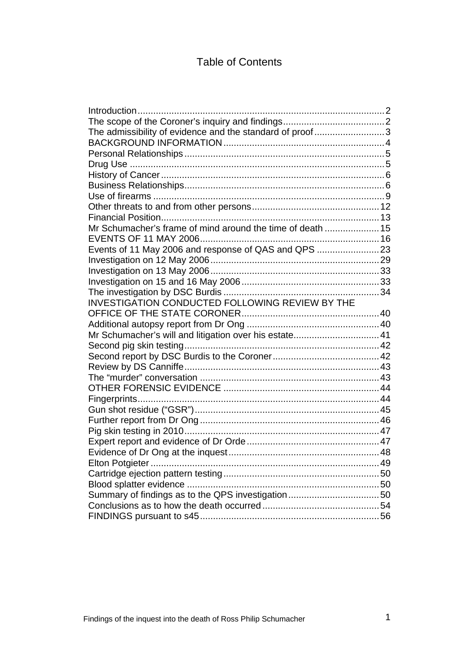# Table of Contents

| The admissibility of evidence and the standard of proof3   |  |
|------------------------------------------------------------|--|
|                                                            |  |
|                                                            |  |
|                                                            |  |
|                                                            |  |
|                                                            |  |
|                                                            |  |
|                                                            |  |
|                                                            |  |
| Mr Schumacher's frame of mind around the time of death  15 |  |
|                                                            |  |
| Events of 11 May 2006 and response of QAS and QPS          |  |
|                                                            |  |
|                                                            |  |
|                                                            |  |
|                                                            |  |
| INVESTIGATION CONDUCTED FOLLOWING REVIEW BY THE            |  |
|                                                            |  |
|                                                            |  |
|                                                            |  |
|                                                            |  |
|                                                            |  |
|                                                            |  |
|                                                            |  |
|                                                            |  |
|                                                            |  |
|                                                            |  |
|                                                            |  |
|                                                            |  |
|                                                            |  |
|                                                            |  |
|                                                            |  |
|                                                            |  |
|                                                            |  |
|                                                            |  |
|                                                            |  |
|                                                            |  |
|                                                            |  |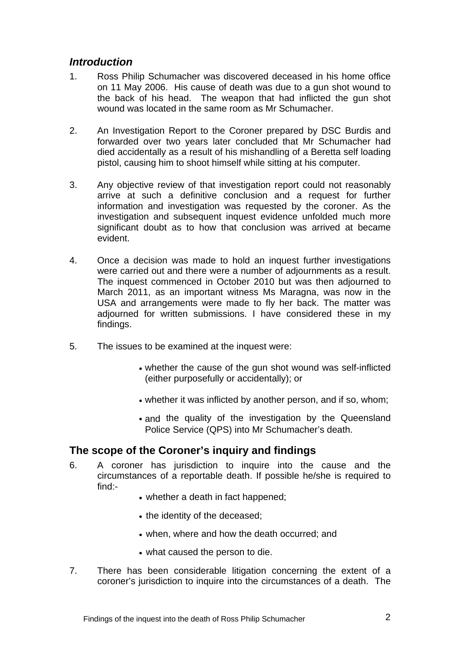## <span id="page-2-0"></span>*Introduction*

- 1. Ross Philip Schumacher was discovered deceased in his home office on 11 May 2006. His cause of death was due to a gun shot wound to the back of his head. The weapon that had inflicted the gun shot wound was located in the same room as Mr Schumacher.
- 2. An Investigation Report to the Coroner prepared by DSC Burdis and forwarded over two years later concluded that Mr Schumacher had died accidentally as a result of his mishandling of a Beretta self loading pistol, causing him to shoot himself while sitting at his computer.
- 3. Any objective review of that investigation report could not reasonably arrive at such a definitive conclusion and a request for further information and investigation was requested by the coroner. As the investigation and subsequent inquest evidence unfolded much more significant doubt as to how that conclusion was arrived at became evident.
- 4. Once a decision was made to hold an inquest further investigations were carried out and there were a number of adjournments as a result. The inquest commenced in October 2010 but was then adjourned to March 2011, as an important witness Ms Maragna, was now in the USA and arrangements were made to fly her back. The matter was adjourned for written submissions. I have considered these in my findings.
- 5. The issues to be examined at the inquest were:
	- whether the cause of the gun shot wound was self-inflicted (either purposefully or accidentally); or
	- whether it was inflicted by another person, and if so, whom;
	- and the quality of the investigation by the Queensland Police Service (QPS) into Mr Schumacher's death.

## **The scope of the Coroner's inquiry and findings**

- 6. A coroner has jurisdiction to inquire into the cause and the circumstances of a reportable death. If possible he/she is required to find:-
	- whether a death in fact happened;
	- the identity of the deceased;
	- when, where and how the death occurred; and
	- what caused the person to die.
- 7. There has been considerable litigation concerning the extent of a coroner's jurisdiction to inquire into the circumstances of a death. The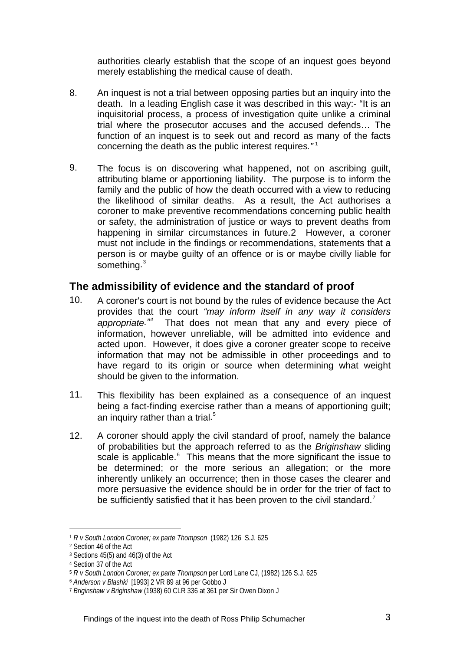<span id="page-3-0"></span>authorities clearly establish that the scope of an inquest goes beyond merely establishing the medical cause of death.

- 8. An inquest is not a trial between opposing parties but an inquiry into the death. In a leading English case it was described in this way:- "It is an inquisitorial process, a process of investigation quite unlike a criminal trial where the prosecutor accuses and the accused defends… The function of an inquest is to seek out and record as many of the facts concerning the death as the public interest requires."<sup>[1](#page-3-1)</sup>
- 9. The focus is on discovering what happened, not on ascribing guilt, attributing blame or apportioning liability. The purpose is to inform the family and the public of how the death occurred with a view to reducing the likelihood of similar deaths. As a result, the Act authorises a coroner to make preventive recommendations concerning public health or safety, the administration of justice or ways to prevent deaths from happening in similar circumstances in future.[2](#page-3-2) However, a coroner must not include in the findings or recommendations, statements that a person is or maybe guilty of an offence or is or maybe civilly liable for something.<sup>[3](#page-3-3)</sup>

## **The admissibility of evidence and the standard of proof**

- 10. A coroner's court is not bound by the rules of evidence because the Act provides that the court *"may inform itself in any way it considers*  appropriate.<sup>"[4](#page-3-4)</sup> That does not mean that any and every piece of information, however unreliable, will be admitted into evidence and acted upon. However, it does give a coroner greater scope to receive information that may not be admissible in other proceedings and to have regard to its origin or source when determining what weight should be given to the information.
- 11. This flexibility has been explained as a consequence of an inquest being a fact-finding exercise rather than a means of apportioning guilt; an inquiry rather than a trial.<sup>[5](#page-3-5)</sup>
- 12. A coroner should apply the civil standard of proof, namely the balance of probabilities but the approach referred to as the *Briginshaw* sliding scale is applicable.<sup>[6](#page-3-6)</sup> This means that the more significant the issue to be determined; or the more serious an allegation; or the more inherently unlikely an occurrence; then in those cases the clearer and more persuasive the evidence should be in order for the trier of fact to be sufficiently satisfied that it has been proven to the civil standard.<sup>[7](#page-3-7)</sup>

l

<span id="page-3-1"></span><sup>1</sup> *R v South London Coroner; ex parte Thompson* (1982) 126 S.J. 625

<span id="page-3-2"></span><sup>2</sup> Section 46 of the Act

<span id="page-3-3"></span><sup>3</sup> Sections 45(5) and 46(3) of the Act

<span id="page-3-4"></span><sup>4</sup> Section 37 of the Act

<span id="page-3-5"></span><sup>5</sup> *R v South London Coroner; ex parte Thompson* per Lord Lane CJ, (1982) 126 S.J. 625

<span id="page-3-6"></span><sup>6</sup> *Anderson v Blashki* [1993] 2 VR 89 at 96 per Gobbo J

<span id="page-3-7"></span><sup>7</sup> *Briginshaw v Briginshaw* (1938) 60 CLR 336 at 361 per Sir Owen Dixon J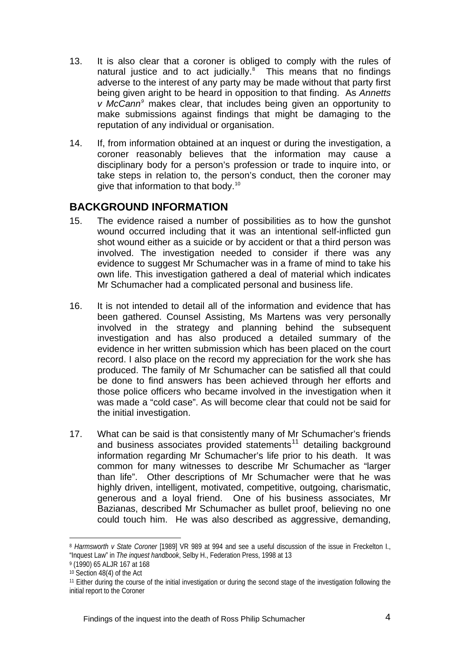- <span id="page-4-0"></span>13. It is also clear that a coroner is obliged to comply with the rules of natural justice and to act judicially. $8$  This means that no findings adverse to the interest of any party may be made without that party first being given aright to be heard in opposition to that finding. As *Annetts v McCann[9](#page-4-2)* makes clear, that includes being given an opportunity to make submissions against findings that might be damaging to the reputation of any individual or organisation.
- 14. If, from information obtained at an inquest or during the investigation, a coroner reasonably believes that the information may cause a disciplinary body for a person's profession or trade to inquire into, or take steps in relation to, the person's conduct, then the coroner may give that information to that body.<sup>[10](#page-4-3)</sup>

# **BACKGROUND INFORMATION**

- 15. The evidence raised a number of possibilities as to how the gunshot wound occurred including that it was an intentional self-inflicted gun shot wound either as a suicide or by accident or that a third person was involved. The investigation needed to consider if there was any evidence to suggest Mr Schumacher was in a frame of mind to take his own life. This investigation gathered a deal of material which indicates Mr Schumacher had a complicated personal and business life.
- 16. It is not intended to detail all of the information and evidence that has been gathered. Counsel Assisting, Ms Martens was very personally involved in the strategy and planning behind the subsequent investigation and has also produced a detailed summary of the evidence in her written submission which has been placed on the court record. I also place on the record my appreciation for the work she has produced. The family of Mr Schumacher can be satisfied all that could be done to find answers has been achieved through her efforts and those police officers who became involved in the investigation when it was made a "cold case". As will become clear that could not be said for the initial investigation.
- 17. What can be said is that consistently many of Mr Schumacher's friends and business associates provided statements<sup>[11](#page-4-4)</sup> detailing background information regarding Mr Schumacher's life prior to his death. It was common for many witnesses to describe Mr Schumacher as "larger than life". Other descriptions of Mr Schumacher were that he was highly driven, intelligent, motivated, competitive, outgoing, charismatic, generous and a loyal friend. One of his business associates, Mr Bazianas, described Mr Schumacher as bullet proof, believing no one could touch him. He was also described as aggressive, demanding,

l

<span id="page-4-1"></span><sup>8</sup> *Harmsworth v State Coroner* [1989] VR 989 at 994 and see a useful discussion of the issue in Freckelton I., "Inquest Law" in *The inquest handbook*, Selby H., Federation Press, 1998 at 13

<span id="page-4-2"></span><sup>9 (1990) 65</sup> ALJR 167 at 168

<sup>10</sup> Section 48(4) of the Act

<span id="page-4-4"></span><span id="page-4-3"></span><sup>11</sup> Either during the course of the initial investigation or during the second stage of the investigation following the initial report to the Coroner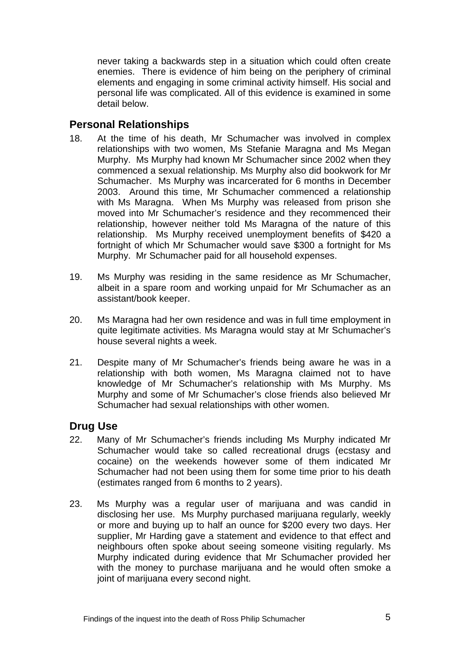<span id="page-5-0"></span>never taking a backwards step in a situation which could often create enemies. There is evidence of him being on the periphery of criminal elements and engaging in some criminal activity himself. His social and personal life was complicated. All of this evidence is examined in some detail below.

## **Personal Relationships**

- 18. At the time of his death, Mr Schumacher was involved in complex relationships with two women, Ms Stefanie Maragna and Ms Megan Murphy. Ms Murphy had known Mr Schumacher since 2002 when they commenced a sexual relationship. Ms Murphy also did bookwork for Mr Schumacher. Ms Murphy was incarcerated for 6 months in December 2003. Around this time, Mr Schumacher commenced a relationship with Ms Maragna. When Ms Murphy was released from prison she moved into Mr Schumacher's residence and they recommenced their relationship, however neither told Ms Maragna of the nature of this relationship. Ms Murphy received unemployment benefits of \$420 a fortnight of which Mr Schumacher would save \$300 a fortnight for Ms Murphy. Mr Schumacher paid for all household expenses.
- 19. Ms Murphy was residing in the same residence as Mr Schumacher, albeit in a spare room and working unpaid for Mr Schumacher as an assistant/book keeper.
- 20. Ms Maragna had her own residence and was in full time employment in quite legitimate activities. Ms Maragna would stay at Mr Schumacher's house several nights a week.
- 21. Despite many of Mr Schumacher's friends being aware he was in a relationship with both women, Ms Maragna claimed not to have knowledge of Mr Schumacher's relationship with Ms Murphy. Ms Murphy and some of Mr Schumacher's close friends also believed Mr Schumacher had sexual relationships with other women.

## **Drug Use**

- 22. Many of Mr Schumacher's friends including Ms Murphy indicated Mr Schumacher would take so called recreational drugs (ecstasy and cocaine) on the weekends however some of them indicated Mr Schumacher had not been using them for some time prior to his death (estimates ranged from 6 months to 2 years).
- 23. Ms Murphy was a regular user of marijuana and was candid in disclosing her use. Ms Murphy purchased marijuana regularly, weekly or more and buying up to half an ounce for \$200 every two days. Her supplier, Mr Harding gave a statement and evidence to that effect and neighbours often spoke about seeing someone visiting regularly. Ms Murphy indicated during evidence that Mr Schumacher provided her with the money to purchase marijuana and he would often smoke a joint of marijuana every second night.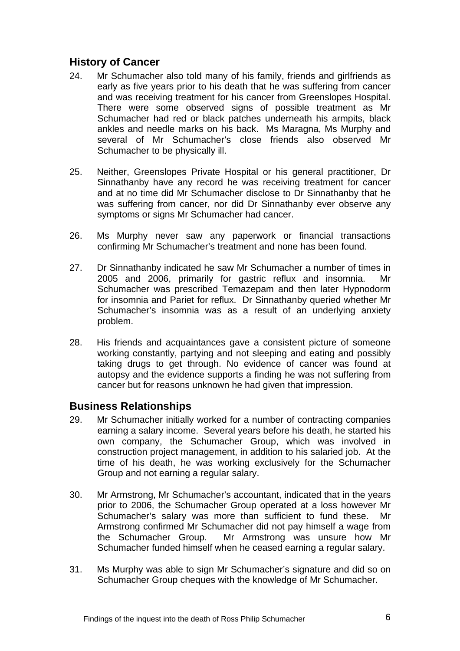## <span id="page-6-0"></span>**History of Cancer**

- 24. Mr Schumacher also told many of his family, friends and girlfriends as early as five years prior to his death that he was suffering from cancer and was receiving treatment for his cancer from Greenslopes Hospital. There were some observed signs of possible treatment as Mr Schumacher had red or black patches underneath his armpits, black ankles and needle marks on his back. Ms Maragna, Ms Murphy and several of Mr Schumacher's close friends also observed Mr Schumacher to be physically ill.
- 25. Neither, Greenslopes Private Hospital or his general practitioner, Dr Sinnathanby have any record he was receiving treatment for cancer and at no time did Mr Schumacher disclose to Dr Sinnathanby that he was suffering from cancer, nor did Dr Sinnathanby ever observe any symptoms or signs Mr Schumacher had cancer.
- 26. Ms Murphy never saw any paperwork or financial transactions confirming Mr Schumacher's treatment and none has been found.
- 27. Dr Sinnathanby indicated he saw Mr Schumacher a number of times in 2005 and 2006, primarily for gastric reflux and insomnia. Mr Schumacher was prescribed Temazepam and then later Hypnodorm for insomnia and Pariet for reflux. Dr Sinnathanby queried whether Mr Schumacher's insomnia was as a result of an underlying anxiety problem.
- 28. His friends and acquaintances gave a consistent picture of someone working constantly, partying and not sleeping and eating and possibly taking drugs to get through. No evidence of cancer was found at autopsy and the evidence supports a finding he was not suffering from cancer but for reasons unknown he had given that impression.

## **Business Relationships**

- 29. Mr Schumacher initially worked for a number of contracting companies earning a salary income. Several years before his death, he started his own company, the Schumacher Group, which was involved in construction project management, in addition to his salaried job. At the time of his death, he was working exclusively for the Schumacher Group and not earning a regular salary.
- 30. Mr Armstrong, Mr Schumacher's accountant, indicated that in the years prior to 2006, the Schumacher Group operated at a loss however Mr Schumacher's salary was more than sufficient to fund these. Mr Armstrong confirmed Mr Schumacher did not pay himself a wage from the Schumacher Group. Mr Armstrong was unsure how Mr Schumacher funded himself when he ceased earning a regular salary.
- 31. Ms Murphy was able to sign Mr Schumacher's signature and did so on Schumacher Group cheques with the knowledge of Mr Schumacher.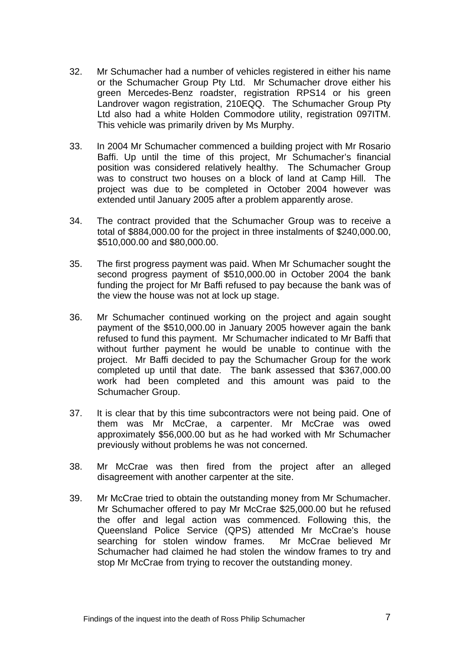- 32. Mr Schumacher had a number of vehicles registered in either his name or the Schumacher Group Pty Ltd. Mr Schumacher drove either his green Mercedes-Benz roadster, registration RPS14 or his green Landrover wagon registration, 210EQQ. The Schumacher Group Pty Ltd also had a white Holden Commodore utility, registration 097ITM. This vehicle was primarily driven by Ms Murphy.
- 33. In 2004 Mr Schumacher commenced a building project with Mr Rosario Baffi. Up until the time of this project, Mr Schumacher's financial position was considered relatively healthy. The Schumacher Group was to construct two houses on a block of land at Camp Hill. The project was due to be completed in October 2004 however was extended until January 2005 after a problem apparently arose.
- 34. The contract provided that the Schumacher Group was to receive a total of \$884,000.00 for the project in three instalments of \$240,000.00, \$510,000.00 and \$80,000.00.
- 35. The first progress payment was paid. When Mr Schumacher sought the second progress payment of \$510,000.00 in October 2004 the bank funding the project for Mr Baffi refused to pay because the bank was of the view the house was not at lock up stage.
- 36. Mr Schumacher continued working on the project and again sought payment of the \$510,000.00 in January 2005 however again the bank refused to fund this payment. Mr Schumacher indicated to Mr Baffi that without further payment he would be unable to continue with the project. Mr Baffi decided to pay the Schumacher Group for the work completed up until that date. The bank assessed that \$367,000.00 work had been completed and this amount was paid to the Schumacher Group.
- 37. It is clear that by this time subcontractors were not being paid. One of them was Mr McCrae, a carpenter. Mr McCrae was owed approximately \$56,000.00 but as he had worked with Mr Schumacher previously without problems he was not concerned.
- 38. Mr McCrae was then fired from the project after an alleged disagreement with another carpenter at the site.
- 39. Mr McCrae tried to obtain the outstanding money from Mr Schumacher. Mr Schumacher offered to pay Mr McCrae \$25,000.00 but he refused the offer and legal action was commenced. Following this, the Queensland Police Service (QPS) attended Mr McCrae's house searching for stolen window frames. Mr McCrae believed Mr Schumacher had claimed he had stolen the window frames to try and stop Mr McCrae from trying to recover the outstanding money.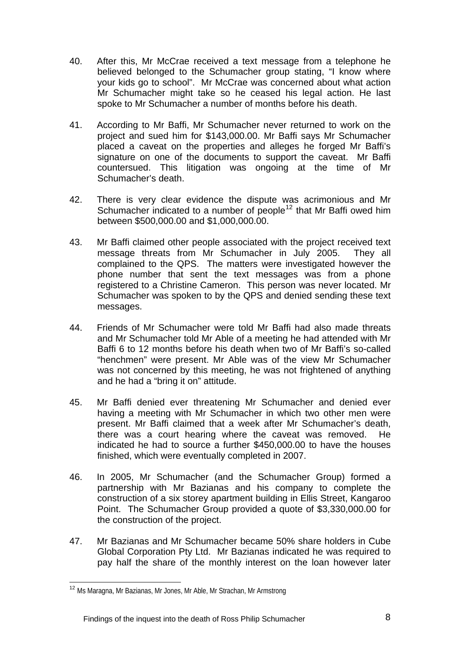- 40. After this, Mr McCrae received a text message from a telephone he believed belonged to the Schumacher group stating, "I know where your kids go to school". Mr McCrae was concerned about what action Mr Schumacher might take so he ceased his legal action. He last spoke to Mr Schumacher a number of months before his death.
- 41. According to Mr Baffi, Mr Schumacher never returned to work on the project and sued him for \$143,000.00. Mr Baffi says Mr Schumacher placed a caveat on the properties and alleges he forged Mr Baffi's signature on one of the documents to support the caveat. Mr Baffi countersued. This litigation was ongoing at the time of Mr Schumacher's death.
- 42. There is very clear evidence the dispute was acrimonious and Mr Schumacher indicated to a number of people<sup>[12](#page-8-0)</sup> that Mr Baffi owed him between \$500,000.00 and \$1,000,000.00.
- 43. Mr Baffi claimed other people associated with the project received text message threats from Mr Schumacher in July 2005. They all complained to the QPS. The matters were investigated however the phone number that sent the text messages was from a phone registered to a Christine Cameron. This person was never located. Mr Schumacher was spoken to by the QPS and denied sending these text messages.
- 44. Friends of Mr Schumacher were told Mr Baffi had also made threats and Mr Schumacher told Mr Able of a meeting he had attended with Mr Baffi 6 to 12 months before his death when two of Mr Baffi's so-called "henchmen" were present. Mr Able was of the view Mr Schumacher was not concerned by this meeting, he was not frightened of anything and he had a "bring it on" attitude.
- 45. Mr Baffi denied ever threatening Mr Schumacher and denied ever having a meeting with Mr Schumacher in which two other men were present. Mr Baffi claimed that a week after Mr Schumacher's death, there was a court hearing where the caveat was removed. He indicated he had to source a further \$450,000.00 to have the houses finished, which were eventually completed in 2007.
- 46. In 2005, Mr Schumacher (and the Schumacher Group) formed a partnership with Mr Bazianas and his company to complete the construction of a six storey apartment building in Ellis Street, Kangaroo Point. The Schumacher Group provided a quote of \$3,330,000.00 for the construction of the project.
- 47. Mr Bazianas and Mr Schumacher became 50% share holders in Cube Global Corporation Pty Ltd. Mr Bazianas indicated he was required to pay half the share of the monthly interest on the loan however later

l

<span id="page-8-0"></span><sup>&</sup>lt;sup>12</sup> Ms Maragna, Mr Bazianas, Mr Jones, Mr Able, Mr Strachan, Mr Armstrong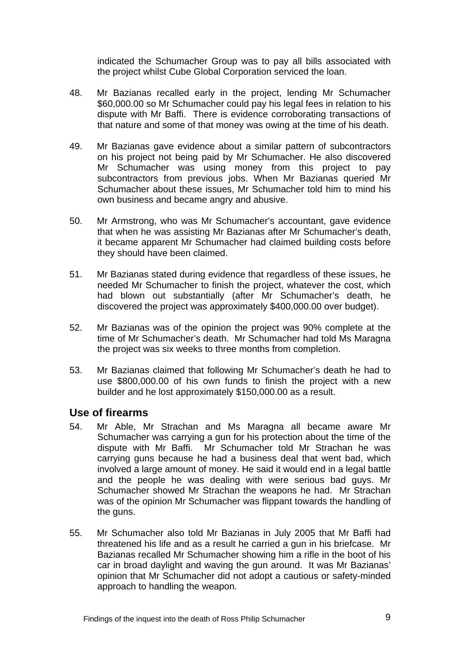<span id="page-9-0"></span>indicated the Schumacher Group was to pay all bills associated with the project whilst Cube Global Corporation serviced the loan.

- 48. Mr Bazianas recalled early in the project, lending Mr Schumacher \$60,000.00 so Mr Schumacher could pay his legal fees in relation to his dispute with Mr Baffi. There is evidence corroborating transactions of that nature and some of that money was owing at the time of his death.
- 49. Mr Bazianas gave evidence about a similar pattern of subcontractors on his project not being paid by Mr Schumacher. He also discovered Mr Schumacher was using money from this project to pay subcontractors from previous jobs. When Mr Bazianas queried Mr Schumacher about these issues, Mr Schumacher told him to mind his own business and became angry and abusive.
- 50. Mr Armstrong, who was Mr Schumacher's accountant, gave evidence that when he was assisting Mr Bazianas after Mr Schumacher's death, it became apparent Mr Schumacher had claimed building costs before they should have been claimed.
- 51. Mr Bazianas stated during evidence that regardless of these issues, he needed Mr Schumacher to finish the project, whatever the cost, which had blown out substantially (after Mr Schumacher's death, he discovered the project was approximately \$400,000.00 over budget).
- 52. Mr Bazianas was of the opinion the project was 90% complete at the time of Mr Schumacher's death. Mr Schumacher had told Ms Maragna the project was six weeks to three months from completion.
- 53. Mr Bazianas claimed that following Mr Schumacher's death he had to use \$800,000.00 of his own funds to finish the project with a new builder and he lost approximately \$150,000.00 as a result.

## **Use of firearms**

- 54. Mr Able, Mr Strachan and Ms Maragna all became aware Mr Schumacher was carrying a gun for his protection about the time of the dispute with Mr Baffi. Mr Schumacher told Mr Strachan he was carrying guns because he had a business deal that went bad, which involved a large amount of money. He said it would end in a legal battle and the people he was dealing with were serious bad guys. Mr Schumacher showed Mr Strachan the weapons he had. Mr Strachan was of the opinion Mr Schumacher was flippant towards the handling of the guns.
- 55. Mr Schumacher also told Mr Bazianas in July 2005 that Mr Baffi had threatened his life and as a result he carried a gun in his briefcase. Mr Bazianas recalled Mr Schumacher showing him a rifle in the boot of his car in broad daylight and waving the gun around. It was Mr Bazianas' opinion that Mr Schumacher did not adopt a cautious or safety-minded approach to handling the weapon.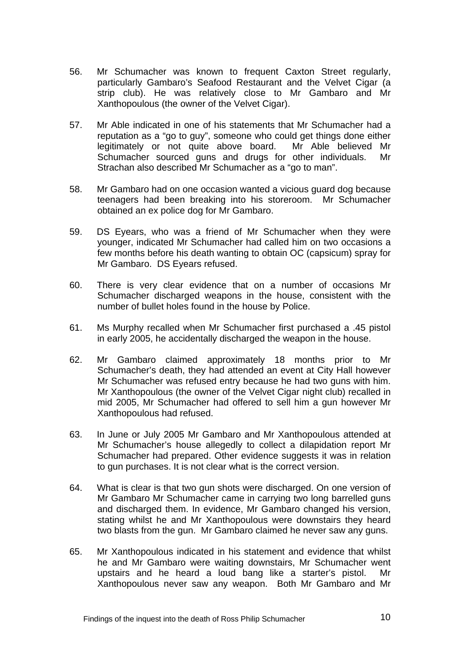- 56. Mr Schumacher was known to frequent Caxton Street regularly, particularly Gambaro's Seafood Restaurant and the Velvet Cigar (a strip club). He was relatively close to Mr Gambaro and Mr Xanthopoulous (the owner of the Velvet Cigar).
- 57. Mr Able indicated in one of his statements that Mr Schumacher had a reputation as a "go to guy", someone who could get things done either legitimately or not quite above board. Mr Able believed Mr Schumacher sourced guns and drugs for other individuals. Mr Strachan also described Mr Schumacher as a "go to man".
- 58. Mr Gambaro had on one occasion wanted a vicious guard dog because teenagers had been breaking into his storeroom. Mr Schumacher obtained an ex police dog for Mr Gambaro.
- 59. DS Eyears, who was a friend of Mr Schumacher when they were younger, indicated Mr Schumacher had called him on two occasions a few months before his death wanting to obtain OC (capsicum) spray for Mr Gambaro. DS Eyears refused.
- 60. There is very clear evidence that on a number of occasions Mr Schumacher discharged weapons in the house, consistent with the number of bullet holes found in the house by Police.
- 61. Ms Murphy recalled when Mr Schumacher first purchased a .45 pistol in early 2005, he accidentally discharged the weapon in the house.
- 62. Mr Gambaro claimed approximately 18 months prior to Mr Schumacher's death, they had attended an event at City Hall however Mr Schumacher was refused entry because he had two guns with him. Mr Xanthopoulous (the owner of the Velvet Cigar night club) recalled in mid 2005, Mr Schumacher had offered to sell him a gun however Mr Xanthopoulous had refused.
- 63. In June or July 2005 Mr Gambaro and Mr Xanthopoulous attended at Mr Schumacher's house allegedly to collect a dilapidation report Mr Schumacher had prepared. Other evidence suggests it was in relation to gun purchases. It is not clear what is the correct version.
- 64. What is clear is that two gun shots were discharged. On one version of Mr Gambaro Mr Schumacher came in carrying two long barrelled guns and discharged them. In evidence, Mr Gambaro changed his version, stating whilst he and Mr Xanthopoulous were downstairs they heard two blasts from the gun. Mr Gambaro claimed he never saw any guns.
- 65. Mr Xanthopoulous indicated in his statement and evidence that whilst he and Mr Gambaro were waiting downstairs, Mr Schumacher went upstairs and he heard a loud bang like a starter's pistol. Mr Xanthopoulous never saw any weapon. Both Mr Gambaro and Mr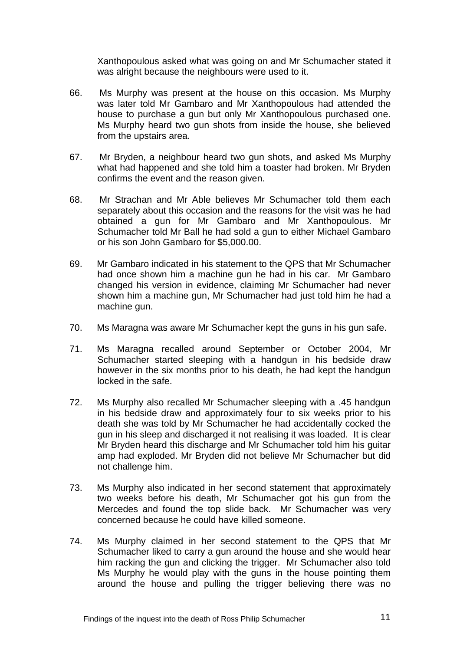Xanthopoulous asked what was going on and Mr Schumacher stated it was alright because the neighbours were used to it.

- 66. Ms Murphy was present at the house on this occasion. Ms Murphy was later told Mr Gambaro and Mr Xanthopoulous had attended the house to purchase a gun but only Mr Xanthopoulous purchased one. Ms Murphy heard two gun shots from inside the house, she believed from the upstairs area.
- 67. Mr Bryden, a neighbour heard two gun shots, and asked Ms Murphy what had happened and she told him a toaster had broken. Mr Bryden confirms the event and the reason given.
- 68. Mr Strachan and Mr Able believes Mr Schumacher told them each separately about this occasion and the reasons for the visit was he had obtained a gun for Mr Gambaro and Mr Xanthopoulous. Mr Schumacher told Mr Ball he had sold a gun to either Michael Gambaro or his son John Gambaro for \$5,000.00.
- 69. Mr Gambaro indicated in his statement to the QPS that Mr Schumacher had once shown him a machine gun he had in his car. Mr Gambaro changed his version in evidence, claiming Mr Schumacher had never shown him a machine gun, Mr Schumacher had just told him he had a machine gun.
- 70. Ms Maragna was aware Mr Schumacher kept the guns in his gun safe.
- 71. Ms Maragna recalled around September or October 2004, Mr Schumacher started sleeping with a handgun in his bedside draw however in the six months prior to his death, he had kept the handgun locked in the safe.
- 72. Ms Murphy also recalled Mr Schumacher sleeping with a .45 handgun in his bedside draw and approximately four to six weeks prior to his death she was told by Mr Schumacher he had accidentally cocked the gun in his sleep and discharged it not realising it was loaded. It is clear Mr Bryden heard this discharge and Mr Schumacher told him his guitar amp had exploded. Mr Bryden did not believe Mr Schumacher but did not challenge him.
- 73. Ms Murphy also indicated in her second statement that approximately two weeks before his death, Mr Schumacher got his gun from the Mercedes and found the top slide back. Mr Schumacher was very concerned because he could have killed someone.
- 74. Ms Murphy claimed in her second statement to the QPS that Mr Schumacher liked to carry a gun around the house and she would hear him racking the gun and clicking the trigger. Mr Schumacher also told Ms Murphy he would play with the guns in the house pointing them around the house and pulling the trigger believing there was no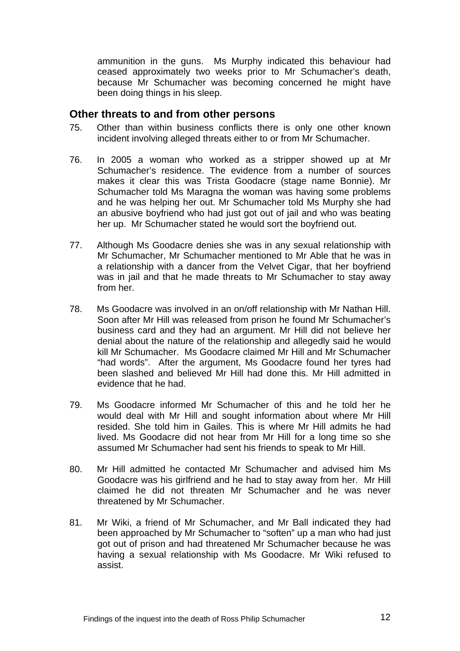<span id="page-12-0"></span>ammunition in the guns. Ms Murphy indicated this behaviour had ceased approximately two weeks prior to Mr Schumacher's death, because Mr Schumacher was becoming concerned he might have been doing things in his sleep.

#### **Other threats to and from other persons**

- 75. Other than within business conflicts there is only one other known incident involving alleged threats either to or from Mr Schumacher.
- 76. In 2005 a woman who worked as a stripper showed up at Mr Schumacher's residence. The evidence from a number of sources makes it clear this was Trista Goodacre (stage name Bonnie). Mr Schumacher told Ms Maragna the woman was having some problems and he was helping her out. Mr Schumacher told Ms Murphy she had an abusive boyfriend who had just got out of jail and who was beating her up. Mr Schumacher stated he would sort the boyfriend out.
- 77. Although Ms Goodacre denies she was in any sexual relationship with Mr Schumacher, Mr Schumacher mentioned to Mr Able that he was in a relationship with a dancer from the Velvet Cigar, that her boyfriend was in jail and that he made threats to Mr Schumacher to stay away from her.
- 78. Ms Goodacre was involved in an on/off relationship with Mr Nathan Hill. Soon after Mr Hill was released from prison he found Mr Schumacher's business card and they had an argument. Mr Hill did not believe her denial about the nature of the relationship and allegedly said he would kill Mr Schumacher. Ms Goodacre claimed Mr Hill and Mr Schumacher "had words". After the argument, Ms Goodacre found her tyres had been slashed and believed Mr Hill had done this. Mr Hill admitted in evidence that he had.
- 79. Ms Goodacre informed Mr Schumacher of this and he told her he would deal with Mr Hill and sought information about where Mr Hill resided. She told him in Gailes. This is where Mr Hill admits he had lived. Ms Goodacre did not hear from Mr Hill for a long time so she assumed Mr Schumacher had sent his friends to speak to Mr Hill.
- 80. Mr Hill admitted he contacted Mr Schumacher and advised him Ms Goodacre was his girlfriend and he had to stay away from her. Mr Hill claimed he did not threaten Mr Schumacher and he was never threatened by Mr Schumacher.
- 81. Mr Wiki, a friend of Mr Schumacher, and Mr Ball indicated they had been approached by Mr Schumacher to "soften" up a man who had just got out of prison and had threatened Mr Schumacher because he was having a sexual relationship with Ms Goodacre. Mr Wiki refused to assist.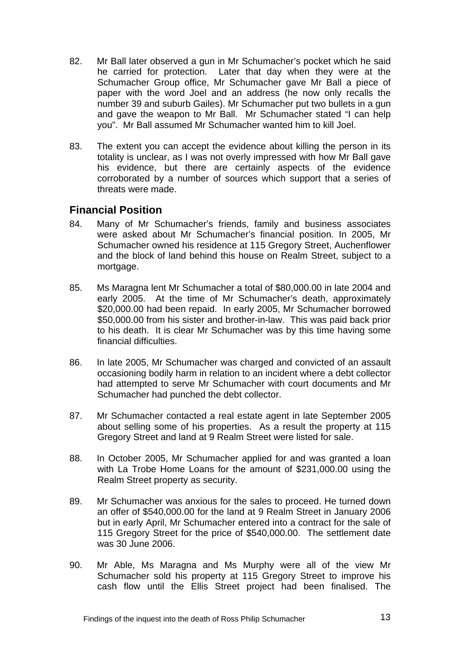- <span id="page-13-0"></span>82. Mr Ball later observed a gun in Mr Schumacher's pocket which he said he carried for protection. Later that day when they were at the Schumacher Group office, Mr Schumacher gave Mr Ball a piece of paper with the word Joel and an address (he now only recalls the number 39 and suburb Gailes). Mr Schumacher put two bullets in a gun and gave the weapon to Mr Ball. Mr Schumacher stated "I can help you". Mr Ball assumed Mr Schumacher wanted him to kill Joel.
- 83. The extent you can accept the evidence about killing the person in its totality is unclear, as I was not overly impressed with how Mr Ball gave his evidence, but there are certainly aspects of the evidence corroborated by a number of sources which support that a series of threats were made.

## **Financial Position**

- 84. Many of Mr Schumacher's friends, family and business associates were asked about Mr Schumacher's financial position. In 2005, Mr Schumacher owned his residence at 115 Gregory Street, Auchenflower and the block of land behind this house on Realm Street, subject to a mortgage.
- 85. Ms Maragna lent Mr Schumacher a total of \$80,000.00 in late 2004 and early 2005. At the time of Mr Schumacher's death, approximately \$20,000.00 had been repaid. In early 2005, Mr Schumacher borrowed \$50,000.00 from his sister and brother-in-law. This was paid back prior to his death. It is clear Mr Schumacher was by this time having some financial difficulties.
- 86. In late 2005, Mr Schumacher was charged and convicted of an assault occasioning bodily harm in relation to an incident where a debt collector had attempted to serve Mr Schumacher with court documents and Mr Schumacher had punched the debt collector.
- 87. Mr Schumacher contacted a real estate agent in late September 2005 about selling some of his properties. As a result the property at 115 Gregory Street and land at 9 Realm Street were listed for sale.
- 88. In October 2005, Mr Schumacher applied for and was granted a loan with La Trobe Home Loans for the amount of \$231,000.00 using the Realm Street property as security.
- 89. Mr Schumacher was anxious for the sales to proceed. He turned down an offer of \$540,000.00 for the land at 9 Realm Street in January 2006 but in early April, Mr Schumacher entered into a contract for the sale of 115 Gregory Street for the price of \$540,000.00. The settlement date was 30 June 2006.
- 90. Mr Able, Ms Maragna and Ms Murphy were all of the view Mr Schumacher sold his property at 115 Gregory Street to improve his cash flow until the Ellis Street project had been finalised. The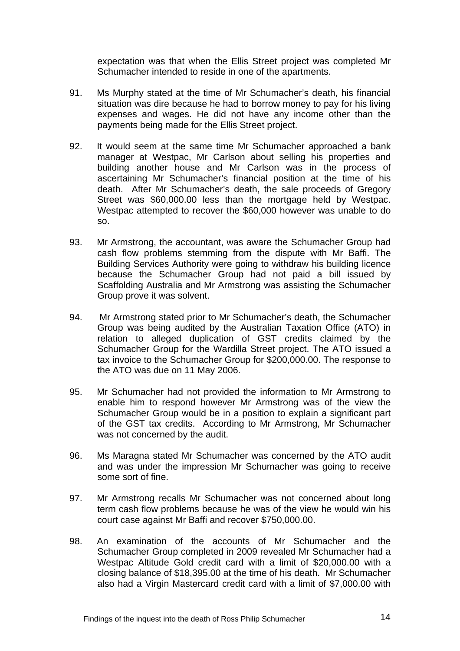expectation was that when the Ellis Street project was completed Mr Schumacher intended to reside in one of the apartments.

- 91. Ms Murphy stated at the time of Mr Schumacher's death, his financial situation was dire because he had to borrow money to pay for his living expenses and wages. He did not have any income other than the payments being made for the Ellis Street project.
- 92. It would seem at the same time Mr Schumacher approached a bank manager at Westpac, Mr Carlson about selling his properties and building another house and Mr Carlson was in the process of ascertaining Mr Schumacher's financial position at the time of his death. After Mr Schumacher's death, the sale proceeds of Gregory Street was \$60,000.00 less than the mortgage held by Westpac. Westpac attempted to recover the \$60,000 however was unable to do so.
- 93. Mr Armstrong, the accountant, was aware the Schumacher Group had cash flow problems stemming from the dispute with Mr Baffi. The Building Services Authority were going to withdraw his building licence because the Schumacher Group had not paid a bill issued by Scaffolding Australia and Mr Armstrong was assisting the Schumacher Group prove it was solvent.
- 94. Mr Armstrong stated prior to Mr Schumacher's death, the Schumacher Group was being audited by the Australian Taxation Office (ATO) in relation to alleged duplication of GST credits claimed by the Schumacher Group for the Wardilla Street project. The ATO issued a tax invoice to the Schumacher Group for \$200,000.00. The response to the ATO was due on 11 May 2006.
- 95. Mr Schumacher had not provided the information to Mr Armstrong to enable him to respond however Mr Armstrong was of the view the Schumacher Group would be in a position to explain a significant part of the GST tax credits. According to Mr Armstrong, Mr Schumacher was not concerned by the audit.
- 96. Ms Maragna stated Mr Schumacher was concerned by the ATO audit and was under the impression Mr Schumacher was going to receive some sort of fine.
- 97. Mr Armstrong recalls Mr Schumacher was not concerned about long term cash flow problems because he was of the view he would win his court case against Mr Baffi and recover \$750,000.00.
- 98. An examination of the accounts of Mr Schumacher and the Schumacher Group completed in 2009 revealed Mr Schumacher had a Westpac Altitude Gold credit card with a limit of \$20,000.00 with a closing balance of \$18,395.00 at the time of his death. Mr Schumacher also had a Virgin Mastercard credit card with a limit of \$7,000.00 with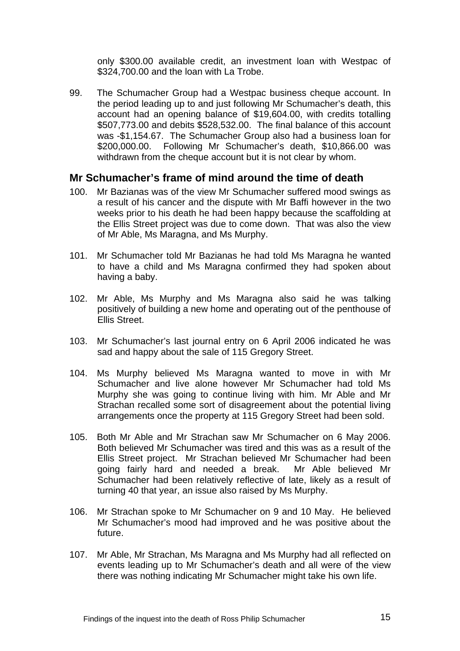<span id="page-15-0"></span>only \$300.00 available credit, an investment loan with Westpac of \$324,700.00 and the loan with La Trobe.

99. The Schumacher Group had a Westpac business cheque account. In the period leading up to and just following Mr Schumacher's death, this account had an opening balance of \$19,604.00, with credits totalling \$507,773.00 and debits \$528,532.00. The final balance of this account was -\$1,154.67. The Schumacher Group also had a business loan for \$200,000.00. Following Mr Schumacher's death, \$10,866.00 was withdrawn from the cheque account but it is not clear by whom.

## **Mr Schumacher's frame of mind around the time of death**

- 100. Mr Bazianas was of the view Mr Schumacher suffered mood swings as a result of his cancer and the dispute with Mr Baffi however in the two weeks prior to his death he had been happy because the scaffolding at the Ellis Street project was due to come down. That was also the view of Mr Able, Ms Maragna, and Ms Murphy.
- 101. Mr Schumacher told Mr Bazianas he had told Ms Maragna he wanted to have a child and Ms Maragna confirmed they had spoken about having a baby.
- 102. Mr Able, Ms Murphy and Ms Maragna also said he was talking positively of building a new home and operating out of the penthouse of Ellis Street.
- 103. Mr Schumacher's last journal entry on 6 April 2006 indicated he was sad and happy about the sale of 115 Gregory Street.
- 104. Ms Murphy believed Ms Maragna wanted to move in with Mr Schumacher and live alone however Mr Schumacher had told Ms Murphy she was going to continue living with him. Mr Able and Mr Strachan recalled some sort of disagreement about the potential living arrangements once the property at 115 Gregory Street had been sold.
- 105. Both Mr Able and Mr Strachan saw Mr Schumacher on 6 May 2006. Both believed Mr Schumacher was tired and this was as a result of the Ellis Street project. Mr Strachan believed Mr Schumacher had been going fairly hard and needed a break. Mr Able believed Mr Schumacher had been relatively reflective of late, likely as a result of turning 40 that year, an issue also raised by Ms Murphy.
- 106. Mr Strachan spoke to Mr Schumacher on 9 and 10 May. He believed Mr Schumacher's mood had improved and he was positive about the future.
- 107. Mr Able, Mr Strachan, Ms Maragna and Ms Murphy had all reflected on events leading up to Mr Schumacher's death and all were of the view there was nothing indicating Mr Schumacher might take his own life.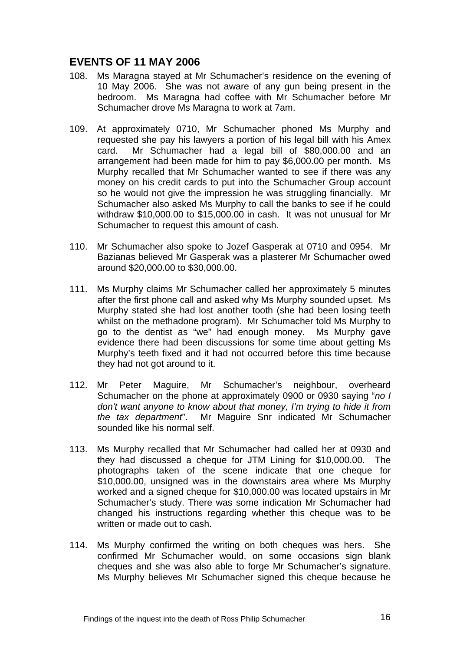## <span id="page-16-0"></span>**EVENTS OF 11 MAY 2006**

- 108. Ms Maragna stayed at Mr Schumacher's residence on the evening of 10 May 2006. She was not aware of any gun being present in the bedroom. Ms Maragna had coffee with Mr Schumacher before Mr Schumacher drove Ms Maragna to work at 7am.
- 109. At approximately 0710, Mr Schumacher phoned Ms Murphy and requested she pay his lawyers a portion of his legal bill with his Amex card. Mr Schumacher had a legal bill of \$80,000.00 and an arrangement had been made for him to pay \$6,000.00 per month. Ms Murphy recalled that Mr Schumacher wanted to see if there was any money on his credit cards to put into the Schumacher Group account so he would not give the impression he was struggling financially. Mr Schumacher also asked Ms Murphy to call the banks to see if he could withdraw \$10,000.00 to \$15,000.00 in cash. It was not unusual for Mr Schumacher to request this amount of cash.
- 110. Mr Schumacher also spoke to Jozef Gasperak at 0710 and 0954. Mr Bazianas believed Mr Gasperak was a plasterer Mr Schumacher owed around \$20,000.00 to \$30,000.00.
- 111. Ms Murphy claims Mr Schumacher called her approximately 5 minutes after the first phone call and asked why Ms Murphy sounded upset. Ms Murphy stated she had lost another tooth (she had been losing teeth whilst on the methadone program). Mr Schumacher told Ms Murphy to go to the dentist as "we" had enough money. Ms Murphy gave evidence there had been discussions for some time about getting Ms Murphy's teeth fixed and it had not occurred before this time because they had not got around to it.
- 112. Mr Peter Maguire, Mr Schumacher's neighbour, overheard Schumacher on the phone at approximately 0900 or 0930 saying "*no I don't want anyone to know about that money, I'm trying to hide it from the tax department*". Mr Maguire Snr indicated Mr Schumacher sounded like his normal self.
- 113. Ms Murphy recalled that Mr Schumacher had called her at 0930 and they had discussed a cheque for JTM Lining for \$10,000.00. The photographs taken of the scene indicate that one cheque for \$10,000.00, unsigned was in the downstairs area where Ms Murphy worked and a signed cheque for \$10,000.00 was located upstairs in Mr Schumacher's study. There was some indication Mr Schumacher had changed his instructions regarding whether this cheque was to be written or made out to cash.
- 114. Ms Murphy confirmed the writing on both cheques was hers. She confirmed Mr Schumacher would, on some occasions sign blank cheques and she was also able to forge Mr Schumacher's signature. Ms Murphy believes Mr Schumacher signed this cheque because he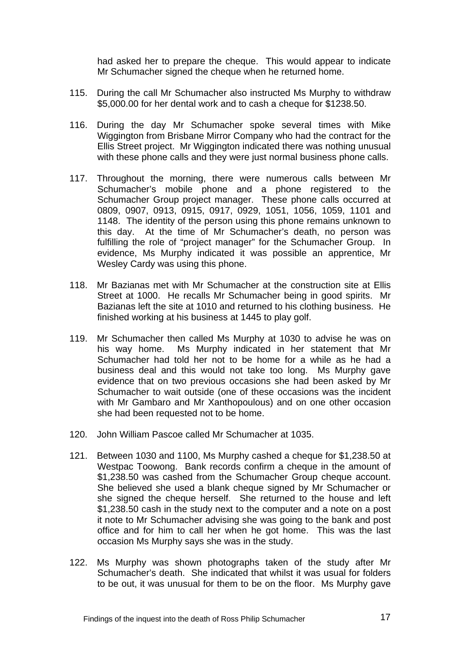had asked her to prepare the cheque. This would appear to indicate Mr Schumacher signed the cheque when he returned home.

- 115. During the call Mr Schumacher also instructed Ms Murphy to withdraw \$5,000.00 for her dental work and to cash a cheque for \$1238.50.
- 116. During the day Mr Schumacher spoke several times with Mike Wiggington from Brisbane Mirror Company who had the contract for the Ellis Street project. Mr Wiggington indicated there was nothing unusual with these phone calls and they were just normal business phone calls.
- 117. Throughout the morning, there were numerous calls between Mr Schumacher's mobile phone and a phone registered to the Schumacher Group project manager. These phone calls occurred at 0809, 0907, 0913, 0915, 0917, 0929, 1051, 1056, 1059, 1101 and 1148. The identity of the person using this phone remains unknown to this day. At the time of Mr Schumacher's death, no person was fulfilling the role of "project manager" for the Schumacher Group. In evidence, Ms Murphy indicated it was possible an apprentice, Mr Wesley Cardy was using this phone.
- 118. Mr Bazianas met with Mr Schumacher at the construction site at Ellis Street at 1000. He recalls Mr Schumacher being in good spirits. Mr Bazianas left the site at 1010 and returned to his clothing business. He finished working at his business at 1445 to play golf.
- 119. Mr Schumacher then called Ms Murphy at 1030 to advise he was on his way home. Ms Murphy indicated in her statement that Mr Schumacher had told her not to be home for a while as he had a business deal and this would not take too long. Ms Murphy gave evidence that on two previous occasions she had been asked by Mr Schumacher to wait outside (one of these occasions was the incident with Mr Gambaro and Mr Xanthopoulous) and on one other occasion she had been requested not to be home.
- 120. John William Pascoe called Mr Schumacher at 1035.
- 121. Between 1030 and 1100, Ms Murphy cashed a cheque for \$1,238.50 at Westpac Toowong. Bank records confirm a cheque in the amount of \$1,238.50 was cashed from the Schumacher Group cheque account. She believed she used a blank cheque signed by Mr Schumacher or she signed the cheque herself. She returned to the house and left \$1,238.50 cash in the study next to the computer and a note on a post it note to Mr Schumacher advising she was going to the bank and post office and for him to call her when he got home. This was the last occasion Ms Murphy says she was in the study.
- 122. Ms Murphy was shown photographs taken of the study after Mr Schumacher's death. She indicated that whilst it was usual for folders to be out, it was unusual for them to be on the floor. Ms Murphy gave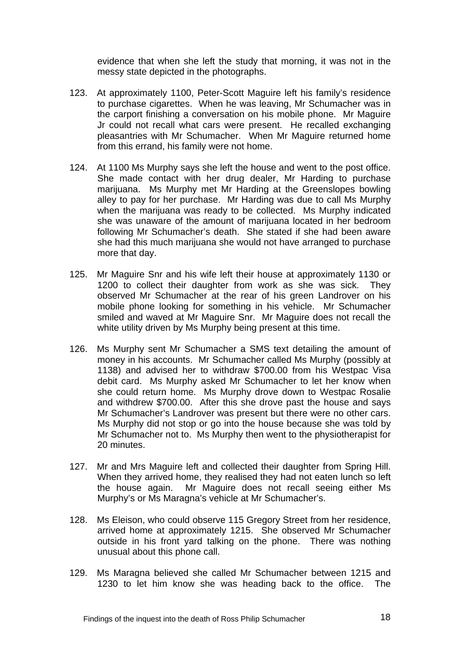evidence that when she left the study that morning, it was not in the messy state depicted in the photographs.

- 123. At approximately 1100, Peter-Scott Maguire left his family's residence to purchase cigarettes. When he was leaving, Mr Schumacher was in the carport finishing a conversation on his mobile phone. Mr Maguire Jr could not recall what cars were present. He recalled exchanging pleasantries with Mr Schumacher. When Mr Maguire returned home from this errand, his family were not home.
- 124. At 1100 Ms Murphy says she left the house and went to the post office. She made contact with her drug dealer, Mr Harding to purchase marijuana. Ms Murphy met Mr Harding at the Greenslopes bowling alley to pay for her purchase. Mr Harding was due to call Ms Murphy when the marijuana was ready to be collected. Ms Murphy indicated she was unaware of the amount of marijuana located in her bedroom following Mr Schumacher's death. She stated if she had been aware she had this much marijuana she would not have arranged to purchase more that day.
- 125. Mr Maguire Snr and his wife left their house at approximately 1130 or 1200 to collect their daughter from work as she was sick. They observed Mr Schumacher at the rear of his green Landrover on his mobile phone looking for something in his vehicle. Mr Schumacher smiled and waved at Mr Maguire Snr. Mr Maguire does not recall the white utility driven by Ms Murphy being present at this time.
- 126. Ms Murphy sent Mr Schumacher a SMS text detailing the amount of money in his accounts. Mr Schumacher called Ms Murphy (possibly at 1138) and advised her to withdraw \$700.00 from his Westpac Visa debit card. Ms Murphy asked Mr Schumacher to let her know when she could return home. Ms Murphy drove down to Westpac Rosalie and withdrew \$700.00. After this she drove past the house and says Mr Schumacher's Landrover was present but there were no other cars. Ms Murphy did not stop or go into the house because she was told by Mr Schumacher not to. Ms Murphy then went to the physiotherapist for 20 minutes.
- 127. Mr and Mrs Maguire left and collected their daughter from Spring Hill. When they arrived home, they realised they had not eaten lunch so left the house again. Mr Maguire does not recall seeing either Ms Murphy's or Ms Maragna's vehicle at Mr Schumacher's.
- 128. Ms Eleison, who could observe 115 Gregory Street from her residence, arrived home at approximately 1215. She observed Mr Schumacher outside in his front yard talking on the phone. There was nothing unusual about this phone call.
- 129. Ms Maragna believed she called Mr Schumacher between 1215 and 1230 to let him know she was heading back to the office. The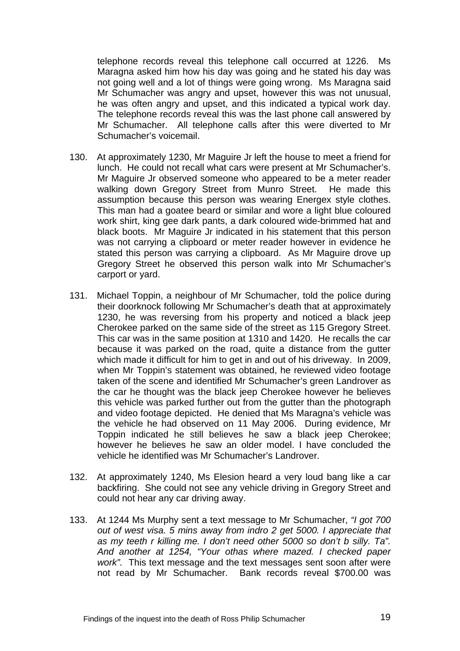telephone records reveal this telephone call occurred at 1226. Ms Maragna asked him how his day was going and he stated his day was not going well and a lot of things were going wrong. Ms Maragna said Mr Schumacher was angry and upset, however this was not unusual, he was often angry and upset, and this indicated a typical work day. The telephone records reveal this was the last phone call answered by Mr Schumacher. All telephone calls after this were diverted to Mr Schumacher's voicemail.

- 130. At approximately 1230, Mr Maguire Jr left the house to meet a friend for lunch. He could not recall what cars were present at Mr Schumacher's. Mr Maguire Jr observed someone who appeared to be a meter reader walking down Gregory Street from Munro Street. He made this assumption because this person was wearing Energex style clothes. This man had a goatee beard or similar and wore a light blue coloured work shirt, king gee dark pants, a dark coloured wide-brimmed hat and black boots. Mr Maguire Jr indicated in his statement that this person was not carrying a clipboard or meter reader however in evidence he stated this person was carrying a clipboard. As Mr Maguire drove up Gregory Street he observed this person walk into Mr Schumacher's carport or yard.
- 131. Michael Toppin, a neighbour of Mr Schumacher, told the police during their doorknock following Mr Schumacher's death that at approximately 1230, he was reversing from his property and noticed a black jeep Cherokee parked on the same side of the street as 115 Gregory Street. This car was in the same position at 1310 and 1420. He recalls the car because it was parked on the road, quite a distance from the gutter which made it difficult for him to get in and out of his driveway. In 2009, when Mr Toppin's statement was obtained, he reviewed video footage taken of the scene and identified Mr Schumacher's green Landrover as the car he thought was the black jeep Cherokee however he believes this vehicle was parked further out from the gutter than the photograph and video footage depicted. He denied that Ms Maragna's vehicle was the vehicle he had observed on 11 May 2006. During evidence, Mr Toppin indicated he still believes he saw a black jeep Cherokee; however he believes he saw an older model. I have concluded the vehicle he identified was Mr Schumacher's Landrover.
- 132. At approximately 1240, Ms Elesion heard a very loud bang like a car backfiring. She could not see any vehicle driving in Gregory Street and could not hear any car driving away.
- 133. At 1244 Ms Murphy sent a text message to Mr Schumacher, *"I got 700 out of west visa. 5 mins away from indro 2 get 5000. I appreciate that as my teeth r killing me. I don't need other 5000 so don't b silly. Ta". And another at 1254, "Your othas where mazed. I checked paper work".* This text message and the text messages sent soon after were not read by Mr Schumacher. Bank records reveal \$700.00 was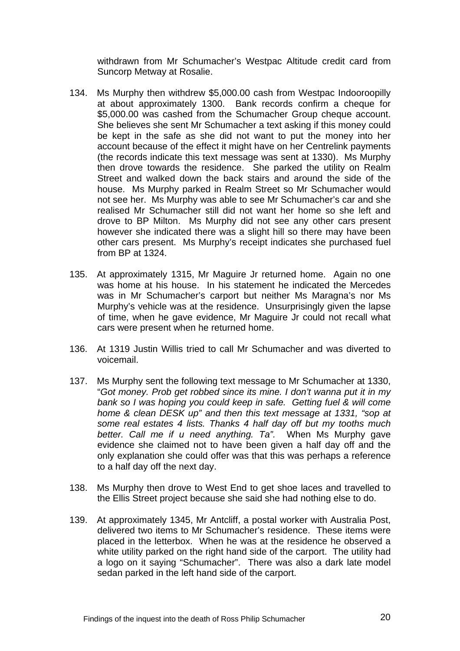withdrawn from Mr Schumacher's Westpac Altitude credit card from Suncorp Metway at Rosalie.

- 134. Ms Murphy then withdrew \$5,000.00 cash from Westpac Indooroopilly at about approximately 1300. Bank records confirm a cheque for \$5,000.00 was cashed from the Schumacher Group cheque account. She believes she sent Mr Schumacher a text asking if this money could be kept in the safe as she did not want to put the money into her account because of the effect it might have on her Centrelink payments (the records indicate this text message was sent at 1330). Ms Murphy then drove towards the residence. She parked the utility on Realm Street and walked down the back stairs and around the side of the house. Ms Murphy parked in Realm Street so Mr Schumacher would not see her. Ms Murphy was able to see Mr Schumacher's car and she realised Mr Schumacher still did not want her home so she left and drove to BP Milton. Ms Murphy did not see any other cars present however she indicated there was a slight hill so there may have been other cars present. Ms Murphy's receipt indicates she purchased fuel from BP at 1324.
- 135. At approximately 1315, Mr Maguire Jr returned home. Again no one was home at his house. In his statement he indicated the Mercedes was in Mr Schumacher's carport but neither Ms Maragna's nor Ms Murphy's vehicle was at the residence. Unsurprisingly given the lapse of time, when he gave evidence, Mr Maguire Jr could not recall what cars were present when he returned home.
- 136. At 1319 Justin Willis tried to call Mr Schumacher and was diverted to voicemail.
- 137. Ms Murphy sent the following text message to Mr Schumacher at 1330, "*Got money. Prob get robbed since its mine. I don't wanna put it in my bank so I was hoping you could keep in safe. Getting fuel & will come home & clean DESK up" and then this text message at 1331, "sop at some real estates 4 lists. Thanks 4 half day off but my tooths much better. Call me if u need anything. Ta".* When Ms Murphy gave evidence she claimed not to have been given a half day off and the only explanation she could offer was that this was perhaps a reference to a half day off the next day.
- 138. Ms Murphy then drove to West End to get shoe laces and travelled to the Ellis Street project because she said she had nothing else to do.
- 139. At approximately 1345, Mr Antcliff, a postal worker with Australia Post, delivered two items to Mr Schumacher's residence. These items were placed in the letterbox. When he was at the residence he observed a white utility parked on the right hand side of the carport. The utility had a logo on it saying "Schumacher". There was also a dark late model sedan parked in the left hand side of the carport.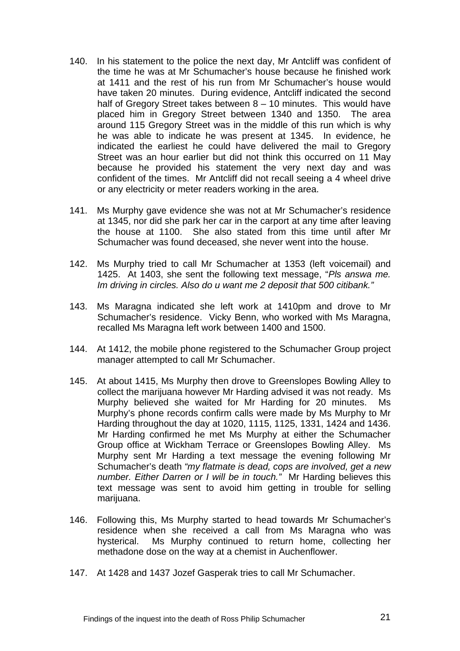- 140. In his statement to the police the next day, Mr Antcliff was confident of the time he was at Mr Schumacher's house because he finished work at 1411 and the rest of his run from Mr Schumacher's house would have taken 20 minutes. During evidence, Antcliff indicated the second half of Gregory Street takes between 8 - 10 minutes. This would have placed him in Gregory Street between 1340 and 1350. The area around 115 Gregory Street was in the middle of this run which is why he was able to indicate he was present at 1345. In evidence, he indicated the earliest he could have delivered the mail to Gregory Street was an hour earlier but did not think this occurred on 11 May because he provided his statement the very next day and was confident of the times. Mr Antcliff did not recall seeing a 4 wheel drive or any electricity or meter readers working in the area.
- 141. Ms Murphy gave evidence she was not at Mr Schumacher's residence at 1345, nor did she park her car in the carport at any time after leaving the house at 1100. She also stated from this time until after Mr Schumacher was found deceased, she never went into the house.
- 142. Ms Murphy tried to call Mr Schumacher at 1353 (left voicemail) and 1425. At 1403, she sent the following text message, "*Pls answa me. Im driving in circles. Also do u want me 2 deposit that 500 citibank."*
- 143. Ms Maragna indicated she left work at 1410pm and drove to Mr Schumacher's residence. Vicky Benn, who worked with Ms Maragna, recalled Ms Maragna left work between 1400 and 1500.
- 144. At 1412, the mobile phone registered to the Schumacher Group project manager attempted to call Mr Schumacher.
- 145. At about 1415, Ms Murphy then drove to Greenslopes Bowling Alley to collect the marijuana however Mr Harding advised it was not ready. Ms Murphy believed she waited for Mr Harding for 20 minutes. Ms Murphy's phone records confirm calls were made by Ms Murphy to Mr Harding throughout the day at 1020, 1115, 1125, 1331, 1424 and 1436. Mr Harding confirmed he met Ms Murphy at either the Schumacher Group office at Wickham Terrace or Greenslopes Bowling Alley. Ms Murphy sent Mr Harding a text message the evening following Mr Schumacher's death *"my flatmate is dead, cops are involved, get a new number. Either Darren or I will be in touch."* Mr Harding believes this text message was sent to avoid him getting in trouble for selling marijuana.
- 146. Following this, Ms Murphy started to head towards Mr Schumacher's residence when she received a call from Ms Maragna who was hysterical. Ms Murphy continued to return home, collecting her methadone dose on the way at a chemist in Auchenflower.
- 147. At 1428 and 1437 Jozef Gasperak tries to call Mr Schumacher.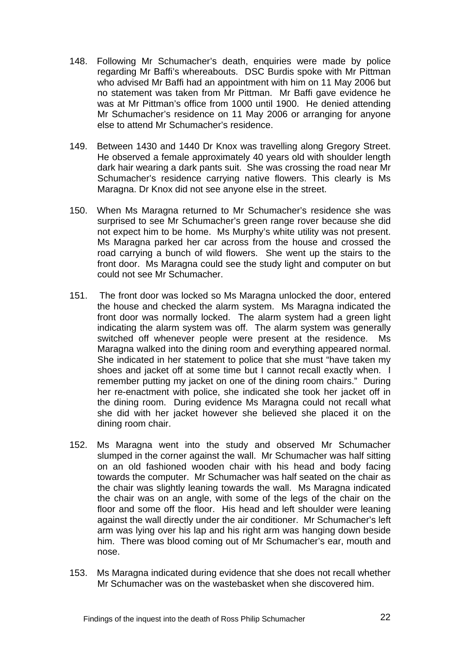- 148. Following Mr Schumacher's death, enquiries were made by police regarding Mr Baffi's whereabouts. DSC Burdis spoke with Mr Pittman who advised Mr Baffi had an appointment with him on 11 May 2006 but no statement was taken from Mr Pittman. Mr Baffi gave evidence he was at Mr Pittman's office from 1000 until 1900. He denied attending Mr Schumacher's residence on 11 May 2006 or arranging for anyone else to attend Mr Schumacher's residence.
- 149. Between 1430 and 1440 Dr Knox was travelling along Gregory Street. He observed a female approximately 40 years old with shoulder length dark hair wearing a dark pants suit. She was crossing the road near Mr Schumacher's residence carrying native flowers. This clearly is Ms Maragna. Dr Knox did not see anyone else in the street.
- 150. When Ms Maragna returned to Mr Schumacher's residence she was surprised to see Mr Schumacher's green range rover because she did not expect him to be home. Ms Murphy's white utility was not present. Ms Maragna parked her car across from the house and crossed the road carrying a bunch of wild flowers. She went up the stairs to the front door. Ms Maragna could see the study light and computer on but could not see Mr Schumacher.
- 151. The front door was locked so Ms Maragna unlocked the door, entered the house and checked the alarm system. Ms Maragna indicated the front door was normally locked. The alarm system had a green light indicating the alarm system was off. The alarm system was generally switched off whenever people were present at the residence. Ms Maragna walked into the dining room and everything appeared normal. She indicated in her statement to police that she must "have taken my shoes and jacket off at some time but I cannot recall exactly when. I remember putting my jacket on one of the dining room chairs." During her re-enactment with police, she indicated she took her jacket off in the dining room. During evidence Ms Maragna could not recall what she did with her jacket however she believed she placed it on the dining room chair.
- 152. Ms Maragna went into the study and observed Mr Schumacher slumped in the corner against the wall. Mr Schumacher was half sitting on an old fashioned wooden chair with his head and body facing towards the computer. Mr Schumacher was half seated on the chair as the chair was slightly leaning towards the wall. Ms Maragna indicated the chair was on an angle, with some of the legs of the chair on the floor and some off the floor. His head and left shoulder were leaning against the wall directly under the air conditioner. Mr Schumacher's left arm was lying over his lap and his right arm was hanging down beside him. There was blood coming out of Mr Schumacher's ear, mouth and nose.
- 153. Ms Maragna indicated during evidence that she does not recall whether Mr Schumacher was on the wastebasket when she discovered him.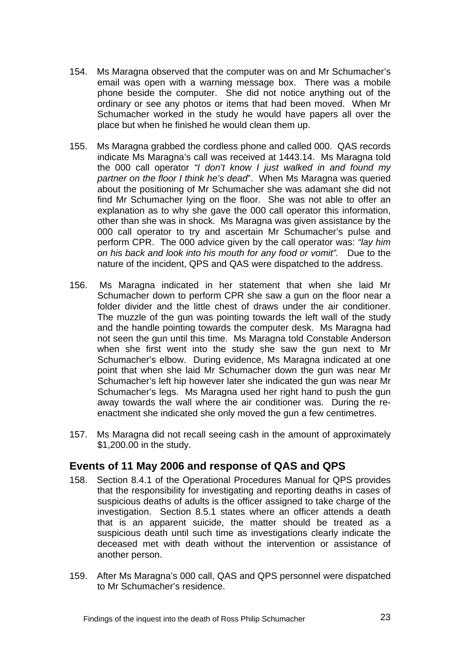- <span id="page-23-0"></span>154. Ms Maragna observed that the computer was on and Mr Schumacher's email was open with a warning message box. There was a mobile phone beside the computer. She did not notice anything out of the ordinary or see any photos or items that had been moved. When Mr Schumacher worked in the study he would have papers all over the place but when he finished he would clean them up.
- 155. Ms Maragna grabbed the cordless phone and called 000. QAS records indicate Ms Maragna's call was received at 1443.14. Ms Maragna told the 000 call operator *"I don't know I just walked in and found my partner on the floor I think he's dead*". When Ms Maragna was queried about the positioning of Mr Schumacher she was adamant she did not find Mr Schumacher lying on the floor. She was not able to offer an explanation as to why she gave the 000 call operator this information, other than she was in shock. Ms Maragna was given assistance by the 000 call operator to try and ascertain Mr Schumacher's pulse and perform CPR. The 000 advice given by the call operator was: *"lay him on his back and look into his mouth for any food or vomit".* Due to the nature of the incident, QPS and QAS were dispatched to the address.
- 156. Ms Maragna indicated in her statement that when she laid Mr Schumacher down to perform CPR she saw a gun on the floor near a folder divider and the little chest of draws under the air conditioner. The muzzle of the gun was pointing towards the left wall of the study and the handle pointing towards the computer desk. Ms Maragna had not seen the gun until this time. Ms Maragna told Constable Anderson when she first went into the study she saw the gun next to Mr Schumacher's elbow. During evidence, Ms Maragna indicated at one point that when she laid Mr Schumacher down the gun was near Mr Schumacher's left hip however later she indicated the gun was near Mr Schumacher's legs. Ms Maragna used her right hand to push the gun away towards the wall where the air conditioner was. During the reenactment she indicated she only moved the gun a few centimetres.
- 157. Ms Maragna did not recall seeing cash in the amount of approximately \$1,200.00 in the study.

## **Events of 11 May 2006 and response of QAS and QPS**

- 158. Section 8.4.1 of the Operational Procedures Manual for QPS provides that the responsibility for investigating and reporting deaths in cases of suspicious deaths of adults is the officer assigned to take charge of the investigation. Section 8.5.1 states where an officer attends a death that is an apparent suicide, the matter should be treated as a suspicious death until such time as investigations clearly indicate the deceased met with death without the intervention or assistance of another person.
- 159. After Ms Maragna's 000 call, QAS and QPS personnel were dispatched to Mr Schumacher's residence.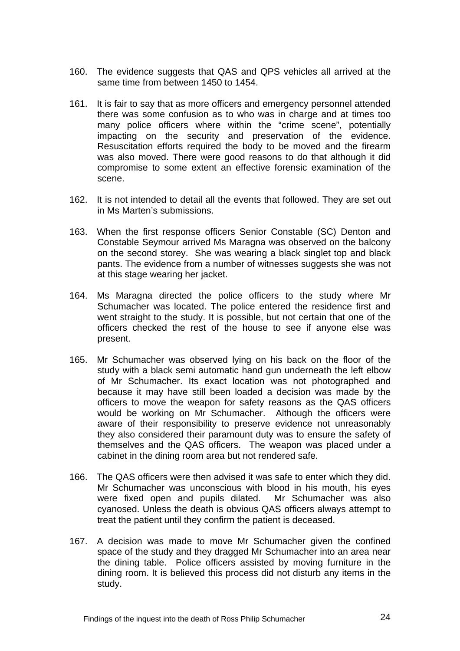- 160. The evidence suggests that QAS and QPS vehicles all arrived at the same time from between 1450 to 1454.
- 161. It is fair to say that as more officers and emergency personnel attended there was some confusion as to who was in charge and at times too many police officers where within the "crime scene", potentially impacting on the security and preservation of the evidence. Resuscitation efforts required the body to be moved and the firearm was also moved. There were good reasons to do that although it did compromise to some extent an effective forensic examination of the scene.
- 162. It is not intended to detail all the events that followed. They are set out in Ms Marten's submissions.
- 163. When the first response officers Senior Constable (SC) Denton and Constable Seymour arrived Ms Maragna was observed on the balcony on the second storey. She was wearing a black singlet top and black pants. The evidence from a number of witnesses suggests she was not at this stage wearing her jacket.
- 164. Ms Maragna directed the police officers to the study where Mr Schumacher was located. The police entered the residence first and went straight to the study. It is possible, but not certain that one of the officers checked the rest of the house to see if anyone else was present.
- 165. Mr Schumacher was observed lying on his back on the floor of the study with a black semi automatic hand gun underneath the left elbow of Mr Schumacher. Its exact location was not photographed and because it may have still been loaded a decision was made by the officers to move the weapon for safety reasons as the QAS officers would be working on Mr Schumacher. Although the officers were aware of their responsibility to preserve evidence not unreasonably they also considered their paramount duty was to ensure the safety of themselves and the QAS officers. The weapon was placed under a cabinet in the dining room area but not rendered safe.
- 166. The QAS officers were then advised it was safe to enter which they did. Mr Schumacher was unconscious with blood in his mouth, his eyes were fixed open and pupils dilated. Mr Schumacher was also cyanosed. Unless the death is obvious QAS officers always attempt to treat the patient until they confirm the patient is deceased.
- 167. A decision was made to move Mr Schumacher given the confined space of the study and they dragged Mr Schumacher into an area near the dining table. Police officers assisted by moving furniture in the dining room. It is believed this process did not disturb any items in the study.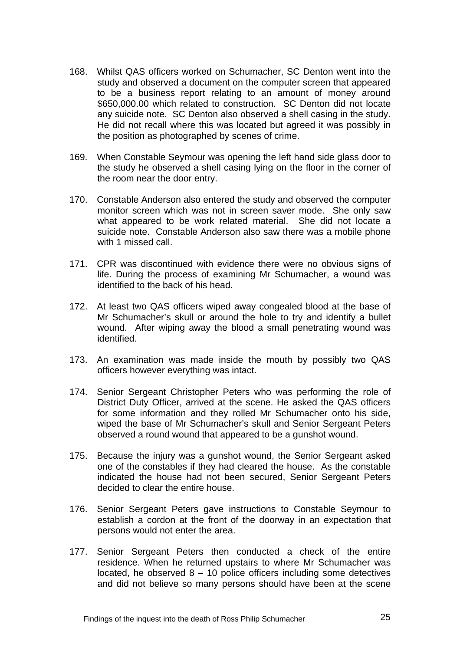- 168. Whilst QAS officers worked on Schumacher, SC Denton went into the study and observed a document on the computer screen that appeared to be a business report relating to an amount of money around \$650,000.00 which related to construction. SC Denton did not locate any suicide note. SC Denton also observed a shell casing in the study. He did not recall where this was located but agreed it was possibly in the position as photographed by scenes of crime.
- 169. When Constable Seymour was opening the left hand side glass door to the study he observed a shell casing lying on the floor in the corner of the room near the door entry.
- 170. Constable Anderson also entered the study and observed the computer monitor screen which was not in screen saver mode. She only saw what appeared to be work related material. She did not locate a suicide note. Constable Anderson also saw there was a mobile phone with 1 missed call.
- 171. CPR was discontinued with evidence there were no obvious signs of life. During the process of examining Mr Schumacher, a wound was identified to the back of his head.
- 172. At least two QAS officers wiped away congealed blood at the base of Mr Schumacher's skull or around the hole to try and identify a bullet wound. After wiping away the blood a small penetrating wound was identified.
- 173. An examination was made inside the mouth by possibly two QAS officers however everything was intact.
- 174. Senior Sergeant Christopher Peters who was performing the role of District Duty Officer, arrived at the scene. He asked the QAS officers for some information and they rolled Mr Schumacher onto his side, wiped the base of Mr Schumacher's skull and Senior Sergeant Peters observed a round wound that appeared to be a gunshot wound.
- 175. Because the injury was a gunshot wound, the Senior Sergeant asked one of the constables if they had cleared the house. As the constable indicated the house had not been secured, Senior Sergeant Peters decided to clear the entire house.
- 176. Senior Sergeant Peters gave instructions to Constable Seymour to establish a cordon at the front of the doorway in an expectation that persons would not enter the area.
- 177. Senior Sergeant Peters then conducted a check of the entire residence. When he returned upstairs to where Mr Schumacher was located, he observed  $8 - 10$  police officers including some detectives and did not believe so many persons should have been at the scene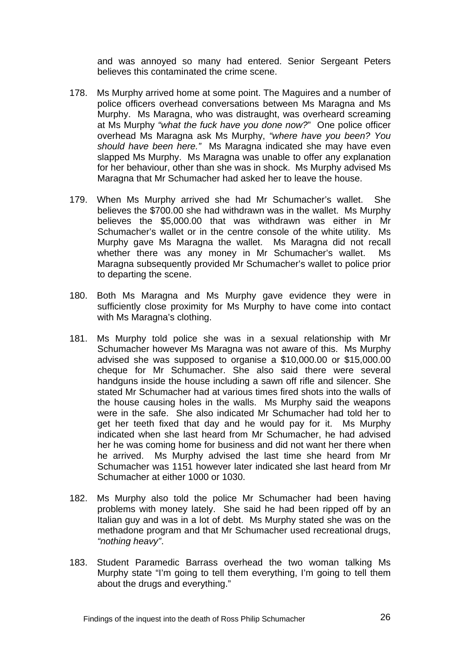and was annoyed so many had entered. Senior Sergeant Peters believes this contaminated the crime scene.

- 178. Ms Murphy arrived home at some point. The Maguires and a number of police officers overhead conversations between Ms Maragna and Ms Murphy. Ms Maragna, who was distraught, was overheard screaming at Ms Murphy *"what the fuck have you done now?*" One police officer overhead Ms Maragna ask Ms Murphy, *"where have you been? You should have been here."* Ms Maragna indicated she may have even slapped Ms Murphy. Ms Maragna was unable to offer any explanation for her behaviour, other than she was in shock. Ms Murphy advised Ms Maragna that Mr Schumacher had asked her to leave the house.
- 179. When Ms Murphy arrived she had Mr Schumacher's wallet. She believes the \$700.00 she had withdrawn was in the wallet. Ms Murphy believes the \$5,000.00 that was withdrawn was either in Mr Schumacher's wallet or in the centre console of the white utility. Ms Murphy gave Ms Maragna the wallet. Ms Maragna did not recall whether there was any money in Mr Schumacher's wallet. Ms Maragna subsequently provided Mr Schumacher's wallet to police prior to departing the scene.
- 180. Both Ms Maragna and Ms Murphy gave evidence they were in sufficiently close proximity for Ms Murphy to have come into contact with Ms Maragna's clothing.
- 181. Ms Murphy told police she was in a sexual relationship with Mr Schumacher however Ms Maragna was not aware of this. Ms Murphy advised she was supposed to organise a \$10,000.00 or \$15,000.00 cheque for Mr Schumacher. She also said there were several handguns inside the house including a sawn off rifle and silencer. She stated Mr Schumacher had at various times fired shots into the walls of the house causing holes in the walls. Ms Murphy said the weapons were in the safe. She also indicated Mr Schumacher had told her to get her teeth fixed that day and he would pay for it. Ms Murphy indicated when she last heard from Mr Schumacher, he had advised her he was coming home for business and did not want her there when he arrived. Ms Murphy advised the last time she heard from Mr Schumacher was 1151 however later indicated she last heard from Mr Schumacher at either 1000 or 1030.
- 182. Ms Murphy also told the police Mr Schumacher had been having problems with money lately. She said he had been ripped off by an Italian guy and was in a lot of debt. Ms Murphy stated she was on the methadone program and that Mr Schumacher used recreational drugs, *"nothing heavy"*.
- 183. Student Paramedic Barrass overhead the two woman talking Ms Murphy state "I'm going to tell them everything, I'm going to tell them about the drugs and everything."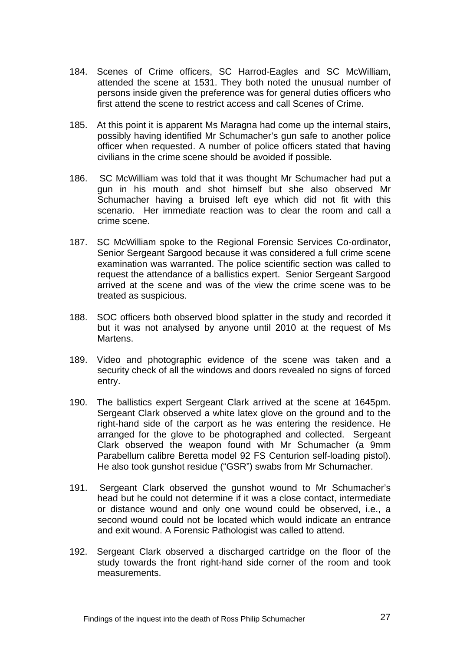- 184. Scenes of Crime officers, SC Harrod-Eagles and SC McWilliam, attended the scene at 1531. They both noted the unusual number of persons inside given the preference was for general duties officers who first attend the scene to restrict access and call Scenes of Crime.
- 185. At this point it is apparent Ms Maragna had come up the internal stairs, possibly having identified Mr Schumacher's gun safe to another police officer when requested. A number of police officers stated that having civilians in the crime scene should be avoided if possible.
- 186. SC McWilliam was told that it was thought Mr Schumacher had put a gun in his mouth and shot himself but she also observed Mr Schumacher having a bruised left eye which did not fit with this scenario. Her immediate reaction was to clear the room and call a crime scene.
- 187. SC McWilliam spoke to the Regional Forensic Services Co-ordinator, Senior Sergeant Sargood because it was considered a full crime scene examination was warranted. The police scientific section was called to request the attendance of a ballistics expert. Senior Sergeant Sargood arrived at the scene and was of the view the crime scene was to be treated as suspicious.
- 188. SOC officers both observed blood splatter in the study and recorded it but it was not analysed by anyone until 2010 at the request of Ms Martens.
- 189. Video and photographic evidence of the scene was taken and a security check of all the windows and doors revealed no signs of forced entry.
- 190. The ballistics expert Sergeant Clark arrived at the scene at 1645pm. Sergeant Clark observed a white latex glove on the ground and to the right-hand side of the carport as he was entering the residence. He arranged for the glove to be photographed and collected. Sergeant Clark observed the weapon found with Mr Schumacher (a 9mm Parabellum calibre Beretta model 92 FS Centurion self-loading pistol). He also took gunshot residue ("GSR") swabs from Mr Schumacher.
- 191. Sergeant Clark observed the gunshot wound to Mr Schumacher's head but he could not determine if it was a close contact, intermediate or distance wound and only one wound could be observed, i.e., a second wound could not be located which would indicate an entrance and exit wound. A Forensic Pathologist was called to attend.
- 192. Sergeant Clark observed a discharged cartridge on the floor of the study towards the front right-hand side corner of the room and took measurements.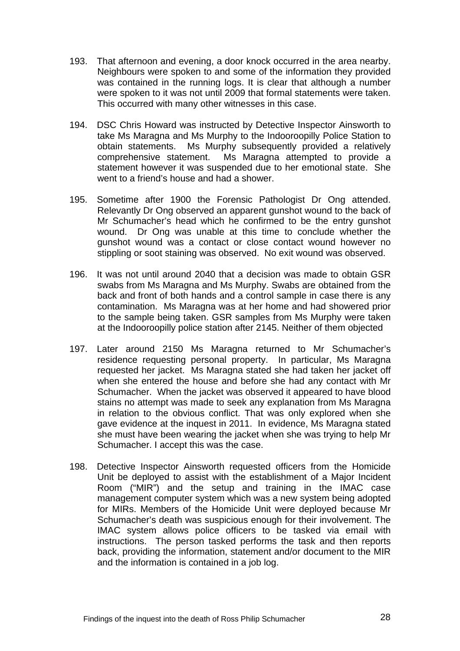- 193. That afternoon and evening, a door knock occurred in the area nearby. Neighbours were spoken to and some of the information they provided was contained in the running logs. It is clear that although a number were spoken to it was not until 2009 that formal statements were taken. This occurred with many other witnesses in this case.
- 194. DSC Chris Howard was instructed by Detective Inspector Ainsworth to take Ms Maragna and Ms Murphy to the Indooroopilly Police Station to obtain statements. Ms Murphy subsequently provided a relatively comprehensive statement. Ms Maragna attempted to provide a statement however it was suspended due to her emotional state. She went to a friend's house and had a shower.
- 195. Sometime after 1900 the Forensic Pathologist Dr Ong attended. Relevantly Dr Ong observed an apparent gunshot wound to the back of Mr Schumacher's head which he confirmed to be the entry gunshot wound. Dr Ong was unable at this time to conclude whether the gunshot wound was a contact or close contact wound however no stippling or soot staining was observed. No exit wound was observed.
- 196. It was not until around 2040 that a decision was made to obtain GSR swabs from Ms Maragna and Ms Murphy. Swabs are obtained from the back and front of both hands and a control sample in case there is any contamination. Ms Maragna was at her home and had showered prior to the sample being taken. GSR samples from Ms Murphy were taken at the Indooroopilly police station after 2145. Neither of them objected
- 197. Later around 2150 Ms Maragna returned to Mr Schumacher's residence requesting personal property. In particular, Ms Maragna requested her jacket. Ms Maragna stated she had taken her jacket off when she entered the house and before she had any contact with Mr Schumacher. When the jacket was observed it appeared to have blood stains no attempt was made to seek any explanation from Ms Maragna in relation to the obvious conflict. That was only explored when she gave evidence at the inquest in 2011. In evidence, Ms Maragna stated she must have been wearing the jacket when she was trying to help Mr Schumacher. I accept this was the case.
- 198. Detective Inspector Ainsworth requested officers from the Homicide Unit be deployed to assist with the establishment of a Major Incident Room ("MIR") and the setup and training in the IMAC case management computer system which was a new system being adopted for MIRs. Members of the Homicide Unit were deployed because Mr Schumacher's death was suspicious enough for their involvement. The IMAC system allows police officers to be tasked via email with instructions. The person tasked performs the task and then reports back, providing the information, statement and/or document to the MIR and the information is contained in a job log.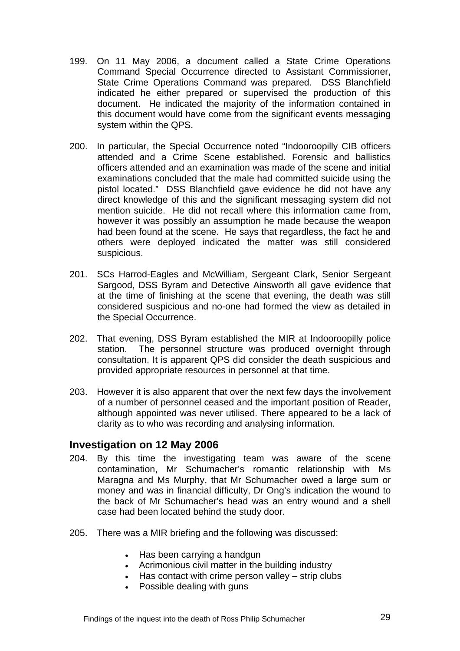- <span id="page-29-0"></span>199. On 11 May 2006, a document called a State Crime Operations Command Special Occurrence directed to Assistant Commissioner, State Crime Operations Command was prepared. DSS Blanchfield indicated he either prepared or supervised the production of this document. He indicated the majority of the information contained in this document would have come from the significant events messaging system within the QPS.
- 200. In particular, the Special Occurrence noted "Indooroopilly CIB officers attended and a Crime Scene established. Forensic and ballistics officers attended and an examination was made of the scene and initial examinations concluded that the male had committed suicide using the pistol located." DSS Blanchfield gave evidence he did not have any direct knowledge of this and the significant messaging system did not mention suicide. He did not recall where this information came from, however it was possibly an assumption he made because the weapon had been found at the scene. He says that regardless, the fact he and others were deployed indicated the matter was still considered suspicious.
- 201. SCs Harrod-Eagles and McWilliam, Sergeant Clark, Senior Sergeant Sargood, DSS Byram and Detective Ainsworth all gave evidence that at the time of finishing at the scene that evening, the death was still considered suspicious and no-one had formed the view as detailed in the Special Occurrence.
- 202. That evening, DSS Byram established the MIR at Indooroopilly police station. The personnel structure was produced overnight through consultation. It is apparent QPS did consider the death suspicious and provided appropriate resources in personnel at that time.
- 203. However it is also apparent that over the next few days the involvement of a number of personnel ceased and the important position of Reader, although appointed was never utilised. There appeared to be a lack of clarity as to who was recording and analysing information.

#### **Investigation on 12 May 2006**

- 204. By this time the investigating team was aware of the scene contamination, Mr Schumacher's romantic relationship with Ms Maragna and Ms Murphy, that Mr Schumacher owed a large sum or money and was in financial difficulty, Dr Ong's indication the wound to the back of Mr Schumacher's head was an entry wound and a shell case had been located behind the study door.
- 205. There was a MIR briefing and the following was discussed:
	- Has been carrying a handgun
	- Acrimonious civil matter in the building industry
	- Has contact with crime person valley strip clubs
	- Possible dealing with guns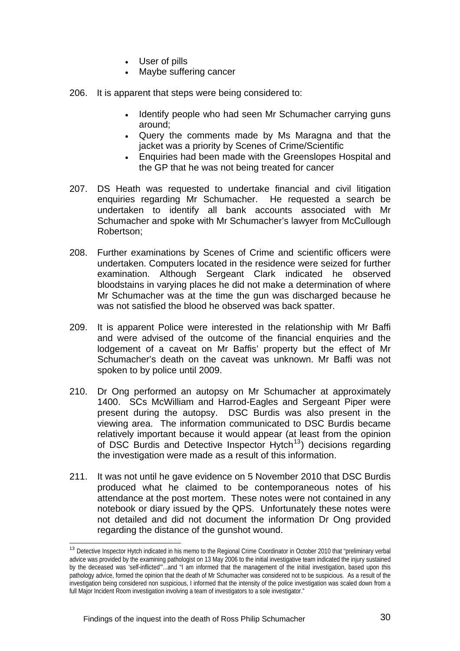- User of pills
- Maybe suffering cancer
- 206. It is apparent that steps were being considered to:
	- Identify people who had seen Mr Schumacher carrying guns around;
	- Query the comments made by Ms Maragna and that the jacket was a priority by Scenes of Crime/Scientific
	- Enquiries had been made with the Greenslopes Hospital and the GP that he was not being treated for cancer
- 207. DS Heath was requested to undertake financial and civil litigation enquiries regarding Mr Schumacher. He requested a search be undertaken to identify all bank accounts associated with Mr Schumacher and spoke with Mr Schumacher's lawyer from McCullough Robertson;
- 208. Further examinations by Scenes of Crime and scientific officers were undertaken. Computers located in the residence were seized for further examination. Although Sergeant Clark indicated he observed bloodstains in varying places he did not make a determination of where Mr Schumacher was at the time the gun was discharged because he was not satisfied the blood he observed was back spatter.
- 209. It is apparent Police were interested in the relationship with Mr Baffi and were advised of the outcome of the financial enquiries and the lodgement of a caveat on Mr Baffis' property but the effect of Mr Schumacher's death on the caveat was unknown. Mr Baffi was not spoken to by police until 2009.
- 210. Dr Ong performed an autopsy on Mr Schumacher at approximately 1400. SCs McWilliam and Harrod-Eagles and Sergeant Piper were present during the autopsy. DSC Burdis was also present in the viewing area. The information communicated to DSC Burdis became relatively important because it would appear (at least from the opinion of DSC Burdis and Detective Inspector Hytch<sup>[13](#page-30-0)</sup>) decisions regarding the investigation were made as a result of this information.
- 211. It was not until he gave evidence on 5 November 2010 that DSC Burdis produced what he claimed to be contemporaneous notes of his attendance at the post mortem. These notes were not contained in any notebook or diary issued by the QPS. Unfortunately these notes were not detailed and did not document the information Dr Ong provided regarding the distance of the gunshot wound.

 $\overline{a}$ 

<span id="page-30-0"></span><sup>&</sup>lt;sup>13</sup> Detective Inspector Hytch indicated in his memo to the Regional Crime Coordinator in October 2010 that "preliminary verbal advice was provided by the examining pathologist on 13 May 2006 to the initial investigative team indicated the injury sustained by the deceased was 'self-inflicted'"...and "I am informed that the management of the initial investigation, based upon this pathology advice, formed the opinion that the death of Mr Schumacher was considered not to be suspicious. As a result of the investigation being considered non suspicious, I informed that the intensity of the police investigation was scaled down from a full Major Incident Room investigation involving a team of investigators to a sole investigator."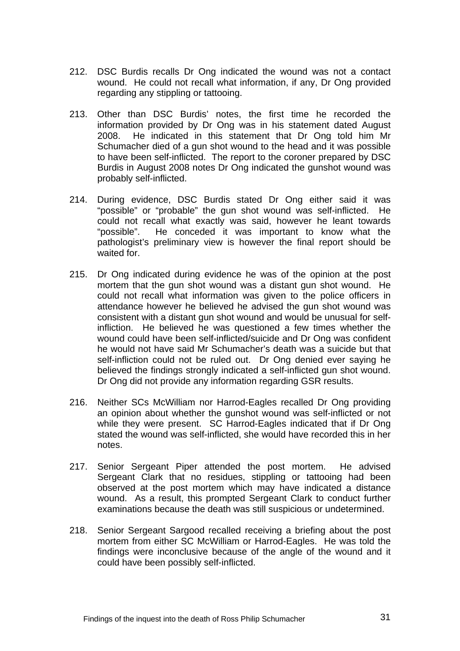- 212. DSC Burdis recalls Dr Ong indicated the wound was not a contact wound. He could not recall what information, if any, Dr Ong provided regarding any stippling or tattooing.
- 213. Other than DSC Burdis' notes, the first time he recorded the information provided by Dr Ong was in his statement dated August 2008. He indicated in this statement that Dr Ong told him Mr Schumacher died of a gun shot wound to the head and it was possible to have been self-inflicted. The report to the coroner prepared by DSC Burdis in August 2008 notes Dr Ong indicated the gunshot wound was probably self-inflicted.
- 214. During evidence, DSC Burdis stated Dr Ong either said it was "possible" or "probable" the gun shot wound was self-inflicted. He could not recall what exactly was said, however he leant towards "possible". He conceded it was important to know what the pathologist's preliminary view is however the final report should be waited for.
- 215. Dr Ong indicated during evidence he was of the opinion at the post mortem that the gun shot wound was a distant gun shot wound. He could not recall what information was given to the police officers in attendance however he believed he advised the gun shot wound was consistent with a distant gun shot wound and would be unusual for selfinfliction. He believed he was questioned a few times whether the wound could have been self-inflicted/suicide and Dr Ong was confident he would not have said Mr Schumacher's death was a suicide but that self-infliction could not be ruled out. Dr Ong denied ever saying he believed the findings strongly indicated a self-inflicted gun shot wound. Dr Ong did not provide any information regarding GSR results.
- 216. Neither SCs McWilliam nor Harrod-Eagles recalled Dr Ong providing an opinion about whether the gunshot wound was self-inflicted or not while they were present. SC Harrod-Eagles indicated that if Dr Ong stated the wound was self-inflicted, she would have recorded this in her notes.
- 217. Senior Sergeant Piper attended the post mortem. He advised Sergeant Clark that no residues, stippling or tattooing had been observed at the post mortem which may have indicated a distance wound. As a result, this prompted Sergeant Clark to conduct further examinations because the death was still suspicious or undetermined.
- 218. Senior Sergeant Sargood recalled receiving a briefing about the post mortem from either SC McWilliam or Harrod-Eagles. He was told the findings were inconclusive because of the angle of the wound and it could have been possibly self-inflicted.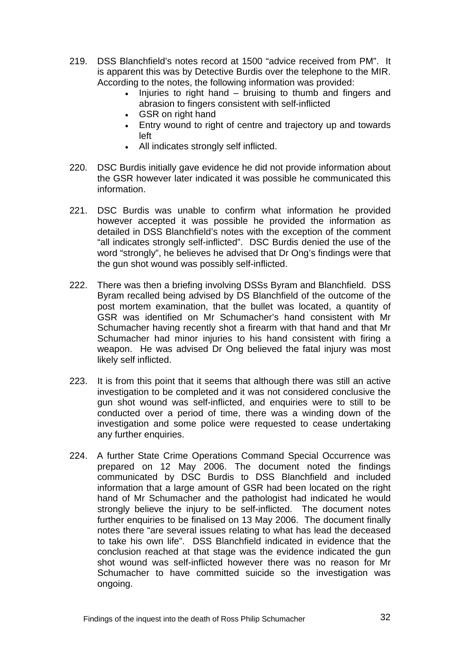- 219. DSS Blanchfield's notes record at 1500 "advice received from PM". It is apparent this was by Detective Burdis over the telephone to the MIR. According to the notes, the following information was provided:
	- Injuries to right hand bruising to thumb and fingers and abrasion to fingers consistent with self-inflicted
	- GSR on right hand
	- Entry wound to right of centre and trajectory up and towards left
	- All indicates strongly self inflicted.
- 220. DSC Burdis initially gave evidence he did not provide information about the GSR however later indicated it was possible he communicated this information.
- 221. DSC Burdis was unable to confirm what information he provided however accepted it was possible he provided the information as detailed in DSS Blanchfield's notes with the exception of the comment "all indicates strongly self-inflicted". DSC Burdis denied the use of the word "strongly", he believes he advised that Dr Ong's findings were that the gun shot wound was possibly self-inflicted.
- 222. There was then a briefing involving DSSs Byram and Blanchfield. DSS Byram recalled being advised by DS Blanchfield of the outcome of the post mortem examination, that the bullet was located, a quantity of GSR was identified on Mr Schumacher's hand consistent with Mr Schumacher having recently shot a firearm with that hand and that Mr Schumacher had minor injuries to his hand consistent with firing a weapon. He was advised Dr Ong believed the fatal injury was most likely self inflicted.
- 223. It is from this point that it seems that although there was still an active investigation to be completed and it was not considered conclusive the gun shot wound was self-inflicted, and enquiries were to still to be conducted over a period of time, there was a winding down of the investigation and some police were requested to cease undertaking any further enquiries.
- 224. A further State Crime Operations Command Special Occurrence was prepared on 12 May 2006. The document noted the findings communicated by DSC Burdis to DSS Blanchfield and included information that a large amount of GSR had been located on the right hand of Mr Schumacher and the pathologist had indicated he would strongly believe the injury to be self-inflicted. The document notes further enquiries to be finalised on 13 May 2006. The document finally notes there "are several issues relating to what has lead the deceased to take his own life". DSS Blanchfield indicated in evidence that the conclusion reached at that stage was the evidence indicated the gun shot wound was self-inflicted however there was no reason for Mr Schumacher to have committed suicide so the investigation was ongoing.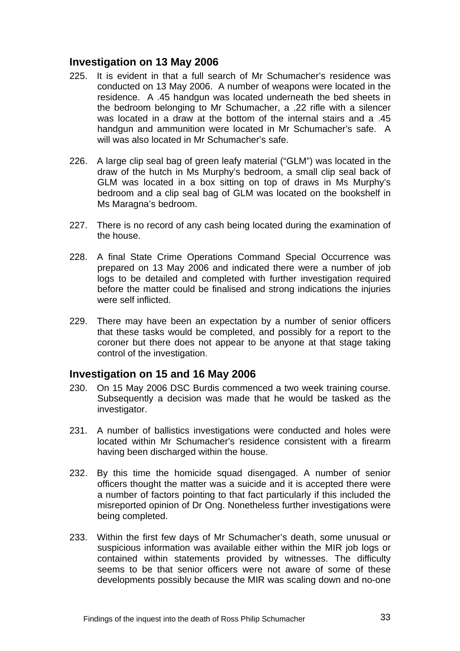## <span id="page-33-0"></span>**Investigation on 13 May 2006**

- 225. It is evident in that a full search of Mr Schumacher's residence was conducted on 13 May 2006. A number of weapons were located in the residence. A .45 handgun was located underneath the bed sheets in the bedroom belonging to Mr Schumacher, a .22 rifle with a silencer was located in a draw at the bottom of the internal stairs and a .45 handgun and ammunition were located in Mr Schumacher's safe. A will was also located in Mr Schumacher's safe.
- 226. A large clip seal bag of green leafy material ("GLM") was located in the draw of the hutch in Ms Murphy's bedroom, a small clip seal back of GLM was located in a box sitting on top of draws in Ms Murphy's bedroom and a clip seal bag of GLM was located on the bookshelf in Ms Maragna's bedroom.
- 227. There is no record of any cash being located during the examination of the house.
- 228. A final State Crime Operations Command Special Occurrence was prepared on 13 May 2006 and indicated there were a number of job logs to be detailed and completed with further investigation required before the matter could be finalised and strong indications the injuries were self inflicted.
- 229. There may have been an expectation by a number of senior officers that these tasks would be completed, and possibly for a report to the coroner but there does not appear to be anyone at that stage taking control of the investigation.

#### **Investigation on 15 and 16 May 2006**

- 230. On 15 May 2006 DSC Burdis commenced a two week training course. Subsequently a decision was made that he would be tasked as the investigator.
- 231. A number of ballistics investigations were conducted and holes were located within Mr Schumacher's residence consistent with a firearm having been discharged within the house.
- 232. By this time the homicide squad disengaged. A number of senior officers thought the matter was a suicide and it is accepted there were a number of factors pointing to that fact particularly if this included the misreported opinion of Dr Ong. Nonetheless further investigations were being completed.
- 233. Within the first few days of Mr Schumacher's death, some unusual or suspicious information was available either within the MIR job logs or contained within statements provided by witnesses. The difficulty seems to be that senior officers were not aware of some of these developments possibly because the MIR was scaling down and no-one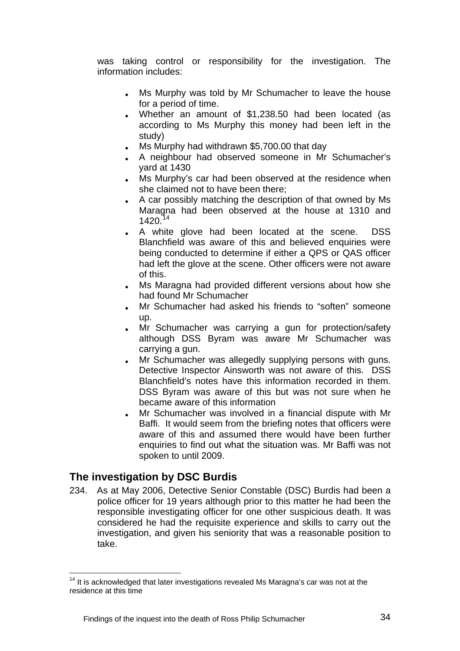<span id="page-34-0"></span>was taking control or responsibility for the investigation. The information includes:

- Ms Murphy was told by Mr Schumacher to leave the house for a period of time.
- Whether an amount of \$1,238.50 had been located (as according to Ms Murphy this money had been left in the study)
- Ms Murphy had withdrawn \$5,700.00 that day
- A neighbour had observed someone in Mr Schumacher's yard at 1430
- Ms Murphy's car had been observed at the residence when she claimed not to have been there;
- A car possibly matching the description of that owned by Ms Maragna had been observed at the house at 1310 and  $1420.<sup>14</sup>$  $1420.<sup>14</sup>$
- A white glove had been located at the scene. DSS Blanchfield was aware of this and believed enquiries were being conducted to determine if either a QPS or QAS officer had left the glove at the scene. Other officers were not aware of this.
- Ms Maragna had provided different versions about how she had found Mr Schumacher
- Mr Schumacher had asked his friends to "soften" someone up.
- Mr Schumacher was carrying a gun for protection/safety although DSS Byram was aware Mr Schumacher was carrying a gun.
- Mr Schumacher was allegedly supplying persons with guns. Detective Inspector Ainsworth was not aware of this. DSS Blanchfield's notes have this information recorded in them. DSS Byram was aware of this but was not sure when he became aware of this information
- Mr Schumacher was involved in a financial dispute with Mr Baffi. It would seem from the briefing notes that officers were aware of this and assumed there would have been further enquiries to find out what the situation was. Mr Baffi was not spoken to until 2009.

# **The investigation by DSC Burdis**

234. As at May 2006, Detective Senior Constable (DSC) Burdis had been a police officer for 19 years although prior to this matter he had been the responsible investigating officer for one other suspicious death. It was considered he had the requisite experience and skills to carry out the investigation, and given his seniority that was a reasonable position to take.

<span id="page-34-1"></span>l  $14$  It is acknowledged that later investigations revealed Ms Maragna's car was not at the residence at this time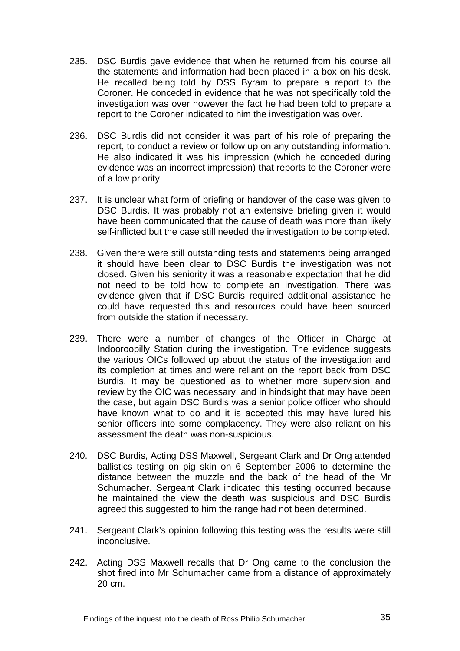- 235. DSC Burdis gave evidence that when he returned from his course all the statements and information had been placed in a box on his desk. He recalled being told by DSS Byram to prepare a report to the Coroner. He conceded in evidence that he was not specifically told the investigation was over however the fact he had been told to prepare a report to the Coroner indicated to him the investigation was over.
- 236. DSC Burdis did not consider it was part of his role of preparing the report, to conduct a review or follow up on any outstanding information. He also indicated it was his impression (which he conceded during evidence was an incorrect impression) that reports to the Coroner were of a low priority
- 237. It is unclear what form of briefing or handover of the case was given to DSC Burdis. It was probably not an extensive briefing given it would have been communicated that the cause of death was more than likely self-inflicted but the case still needed the investigation to be completed.
- 238. Given there were still outstanding tests and statements being arranged it should have been clear to DSC Burdis the investigation was not closed. Given his seniority it was a reasonable expectation that he did not need to be told how to complete an investigation. There was evidence given that if DSC Burdis required additional assistance he could have requested this and resources could have been sourced from outside the station if necessary.
- 239. There were a number of changes of the Officer in Charge at Indooroopilly Station during the investigation. The evidence suggests the various OICs followed up about the status of the investigation and its completion at times and were reliant on the report back from DSC Burdis. It may be questioned as to whether more supervision and review by the OIC was necessary, and in hindsight that may have been the case, but again DSC Burdis was a senior police officer who should have known what to do and it is accepted this may have lured his senior officers into some complacency. They were also reliant on his assessment the death was non-suspicious.
- 240. DSC Burdis, Acting DSS Maxwell, Sergeant Clark and Dr Ong attended ballistics testing on pig skin on 6 September 2006 to determine the distance between the muzzle and the back of the head of the Mr Schumacher. Sergeant Clark indicated this testing occurred because he maintained the view the death was suspicious and DSC Burdis agreed this suggested to him the range had not been determined.
- 241. Sergeant Clark's opinion following this testing was the results were still inconclusive.
- 242. Acting DSS Maxwell recalls that Dr Ong came to the conclusion the shot fired into Mr Schumacher came from a distance of approximately 20 cm.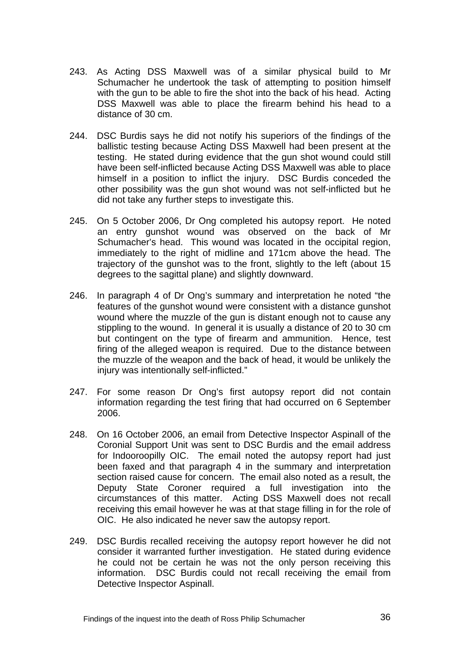- 243. As Acting DSS Maxwell was of a similar physical build to Mr Schumacher he undertook the task of attempting to position himself with the gun to be able to fire the shot into the back of his head. Acting DSS Maxwell was able to place the firearm behind his head to a distance of 30 cm.
- 244. DSC Burdis says he did not notify his superiors of the findings of the ballistic testing because Acting DSS Maxwell had been present at the testing. He stated during evidence that the gun shot wound could still have been self-inflicted because Acting DSS Maxwell was able to place himself in a position to inflict the injury. DSC Burdis conceded the other possibility was the gun shot wound was not self-inflicted but he did not take any further steps to investigate this.
- 245. On 5 October 2006, Dr Ong completed his autopsy report. He noted an entry gunshot wound was observed on the back of Mr Schumacher's head. This wound was located in the occipital region, immediately to the right of midline and 171cm above the head. The trajectory of the gunshot was to the front, slightly to the left (about 15 degrees to the sagittal plane) and slightly downward.
- 246. In paragraph 4 of Dr Ong's summary and interpretation he noted "the features of the gunshot wound were consistent with a distance gunshot wound where the muzzle of the gun is distant enough not to cause any stippling to the wound. In general it is usually a distance of 20 to 30 cm but contingent on the type of firearm and ammunition. Hence, test firing of the alleged weapon is required. Due to the distance between the muzzle of the weapon and the back of head, it would be unlikely the injury was intentionally self-inflicted."
- 247. For some reason Dr Ong's first autopsy report did not contain information regarding the test firing that had occurred on 6 September 2006.
- 248. On 16 October 2006, an email from Detective Inspector Aspinall of the Coronial Support Unit was sent to DSC Burdis and the email address for Indooroopilly OIC. The email noted the autopsy report had just been faxed and that paragraph 4 in the summary and interpretation section raised cause for concern. The email also noted as a result, the Deputy State Coroner required a full investigation into the circumstances of this matter. Acting DSS Maxwell does not recall receiving this email however he was at that stage filling in for the role of OIC. He also indicated he never saw the autopsy report.
- 249. DSC Burdis recalled receiving the autopsy report however he did not consider it warranted further investigation. He stated during evidence he could not be certain he was not the only person receiving this information. DSC Burdis could not recall receiving the email from Detective Inspector Aspinall.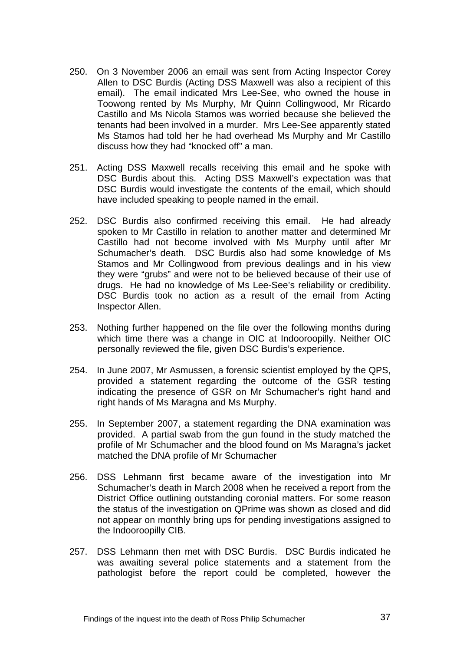- 250. On 3 November 2006 an email was sent from Acting Inspector Corey Allen to DSC Burdis (Acting DSS Maxwell was also a recipient of this email). The email indicated Mrs Lee-See, who owned the house in Toowong rented by Ms Murphy, Mr Quinn Collingwood, Mr Ricardo Castillo and Ms Nicola Stamos was worried because she believed the tenants had been involved in a murder. Mrs Lee-See apparently stated Ms Stamos had told her he had overhead Ms Murphy and Mr Castillo discuss how they had "knocked off" a man.
- 251. Acting DSS Maxwell recalls receiving this email and he spoke with DSC Burdis about this. Acting DSS Maxwell's expectation was that DSC Burdis would investigate the contents of the email, which should have included speaking to people named in the email.
- 252. DSC Burdis also confirmed receiving this email. He had already spoken to Mr Castillo in relation to another matter and determined Mr Castillo had not become involved with Ms Murphy until after Mr Schumacher's death. DSC Burdis also had some knowledge of Ms Stamos and Mr Collingwood from previous dealings and in his view they were "grubs" and were not to be believed because of their use of drugs. He had no knowledge of Ms Lee-See's reliability or credibility. DSC Burdis took no action as a result of the email from Acting Inspector Allen.
- 253. Nothing further happened on the file over the following months during which time there was a change in OIC at Indooroopilly. Neither OIC personally reviewed the file, given DSC Burdis's experience.
- 254. In June 2007, Mr Asmussen, a forensic scientist employed by the QPS, provided a statement regarding the outcome of the GSR testing indicating the presence of GSR on Mr Schumacher's right hand and right hands of Ms Maragna and Ms Murphy.
- 255. In September 2007, a statement regarding the DNA examination was provided. A partial swab from the gun found in the study matched the profile of Mr Schumacher and the blood found on Ms Maragna's jacket matched the DNA profile of Mr Schumacher
- 256. DSS Lehmann first became aware of the investigation into Mr Schumacher's death in March 2008 when he received a report from the District Office outlining outstanding coronial matters. For some reason the status of the investigation on QPrime was shown as closed and did not appear on monthly bring ups for pending investigations assigned to the Indooroopilly CIB.
- 257. DSS Lehmann then met with DSC Burdis. DSC Burdis indicated he was awaiting several police statements and a statement from the pathologist before the report could be completed, however the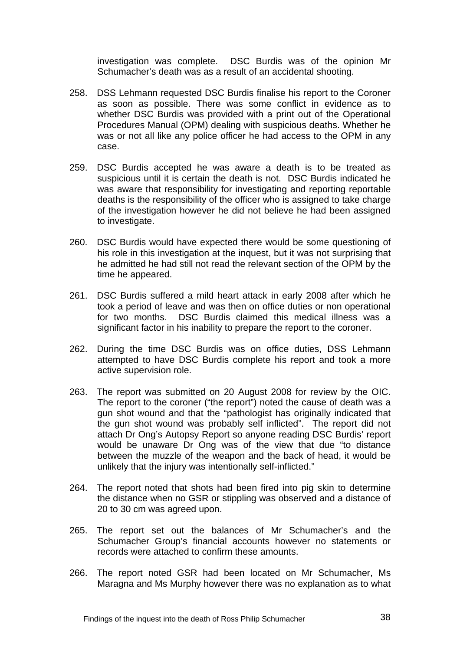investigation was complete. DSC Burdis was of the opinion Mr Schumacher's death was as a result of an accidental shooting.

- 258. DSS Lehmann requested DSC Burdis finalise his report to the Coroner as soon as possible. There was some conflict in evidence as to whether DSC Burdis was provided with a print out of the Operational Procedures Manual (OPM) dealing with suspicious deaths. Whether he was or not all like any police officer he had access to the OPM in any case.
- 259. DSC Burdis accepted he was aware a death is to be treated as suspicious until it is certain the death is not. DSC Burdis indicated he was aware that responsibility for investigating and reporting reportable deaths is the responsibility of the officer who is assigned to take charge of the investigation however he did not believe he had been assigned to investigate.
- 260. DSC Burdis would have expected there would be some questioning of his role in this investigation at the inquest, but it was not surprising that he admitted he had still not read the relevant section of the OPM by the time he appeared.
- 261. DSC Burdis suffered a mild heart attack in early 2008 after which he took a period of leave and was then on office duties or non operational for two months. DSC Burdis claimed this medical illness was a significant factor in his inability to prepare the report to the coroner.
- 262. During the time DSC Burdis was on office duties, DSS Lehmann attempted to have DSC Burdis complete his report and took a more active supervision role.
- 263. The report was submitted on 20 August 2008 for review by the OIC. The report to the coroner ("the report") noted the cause of death was a gun shot wound and that the "pathologist has originally indicated that the gun shot wound was probably self inflicted". The report did not attach Dr Ong's Autopsy Report so anyone reading DSC Burdis' report would be unaware Dr Ong was of the view that due "to distance between the muzzle of the weapon and the back of head, it would be unlikely that the injury was intentionally self-inflicted."
- 264. The report noted that shots had been fired into pig skin to determine the distance when no GSR or stippling was observed and a distance of 20 to 30 cm was agreed upon.
- 265. The report set out the balances of Mr Schumacher's and the Schumacher Group's financial accounts however no statements or records were attached to confirm these amounts.
- 266. The report noted GSR had been located on Mr Schumacher, Ms Maragna and Ms Murphy however there was no explanation as to what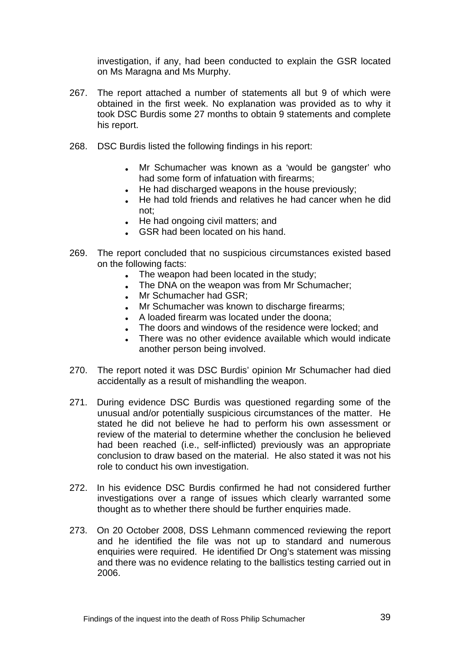investigation, if any, had been conducted to explain the GSR located on Ms Maragna and Ms Murphy.

- 267. The report attached a number of statements all but 9 of which were obtained in the first week. No explanation was provided as to why it took DSC Burdis some 27 months to obtain 9 statements and complete his report.
- 268. DSC Burdis listed the following findings in his report:
	- Mr Schumacher was known as a 'would be gangster' who had some form of infatuation with firearms;
	- He had discharged weapons in the house previously;
	- He had told friends and relatives he had cancer when he did not;
	- He had ongoing civil matters; and
	- GSR had been located on his hand.
- 269. The report concluded that no suspicious circumstances existed based on the following facts:
	- The weapon had been located in the study;
	- The DNA on the weapon was from Mr Schumacher;
	- Mr Schumacher had GSR;
	- Mr Schumacher was known to discharge firearms;
	- A loaded firearm was located under the doona;
	- The doors and windows of the residence were locked; and
	- There was no other evidence available which would indicate another person being involved.
- 270. The report noted it was DSC Burdis' opinion Mr Schumacher had died accidentally as a result of mishandling the weapon.
- 271. During evidence DSC Burdis was questioned regarding some of the unusual and/or potentially suspicious circumstances of the matter. He stated he did not believe he had to perform his own assessment or review of the material to determine whether the conclusion he believed had been reached (i.e., self-inflicted) previously was an appropriate conclusion to draw based on the material. He also stated it was not his role to conduct his own investigation.
- 272. In his evidence DSC Burdis confirmed he had not considered further investigations over a range of issues which clearly warranted some thought as to whether there should be further enquiries made.
- 273. On 20 October 2008, DSS Lehmann commenced reviewing the report and he identified the file was not up to standard and numerous enquiries were required. He identified Dr Ong's statement was missing and there was no evidence relating to the ballistics testing carried out in 2006.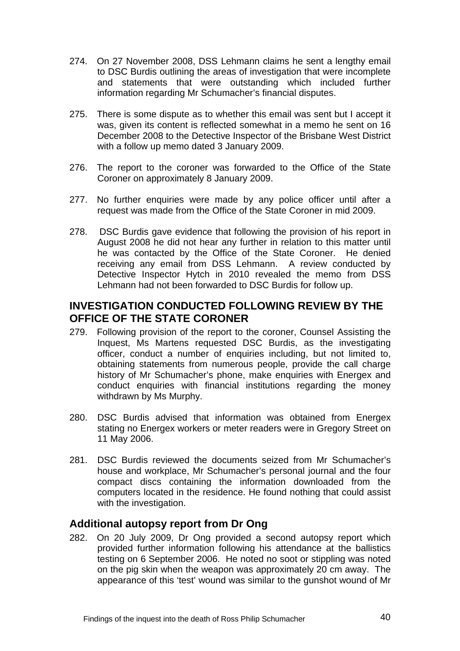- <span id="page-40-0"></span>274. On 27 November 2008, DSS Lehmann claims he sent a lengthy email to DSC Burdis outlining the areas of investigation that were incomplete and statements that were outstanding which included further information regarding Mr Schumacher's financial disputes.
- 275. There is some dispute as to whether this email was sent but I accept it was, given its content is reflected somewhat in a memo he sent on 16 December 2008 to the Detective Inspector of the Brisbane West District with a follow up memo dated 3 January 2009.
- 276. The report to the coroner was forwarded to the Office of the State Coroner on approximately 8 January 2009.
- 277. No further enquiries were made by any police officer until after a request was made from the Office of the State Coroner in mid 2009.
- 278. DSC Burdis gave evidence that following the provision of his report in August 2008 he did not hear any further in relation to this matter until he was contacted by the Office of the State Coroner. He denied receiving any email from DSS Lehmann. A review conducted by Detective Inspector Hytch in 2010 revealed the memo from DSS Lehmann had not been forwarded to DSC Burdis for follow up.

## **INVESTIGATION CONDUCTED FOLLOWING REVIEW BY THE OFFICE OF THE STATE CORONER**

- 279. Following provision of the report to the coroner, Counsel Assisting the Inquest, Ms Martens requested DSC Burdis, as the investigating officer, conduct a number of enquiries including, but not limited to, obtaining statements from numerous people, provide the call charge history of Mr Schumacher's phone, make enquiries with Energex and conduct enquiries with financial institutions regarding the money withdrawn by Ms Murphy.
- 280. DSC Burdis advised that information was obtained from Energex stating no Energex workers or meter readers were in Gregory Street on 11 May 2006.
- 281. DSC Burdis reviewed the documents seized from Mr Schumacher's house and workplace, Mr Schumacher's personal journal and the four compact discs containing the information downloaded from the computers located in the residence. He found nothing that could assist with the investigation.

#### **Additional autopsy report from Dr Ong**

282. On 20 July 2009, Dr Ong provided a second autopsy report which provided further information following his attendance at the ballistics testing on 6 September 2006. He noted no soot or stippling was noted on the pig skin when the weapon was approximately 20 cm away. The appearance of this 'test' wound was similar to the gunshot wound of Mr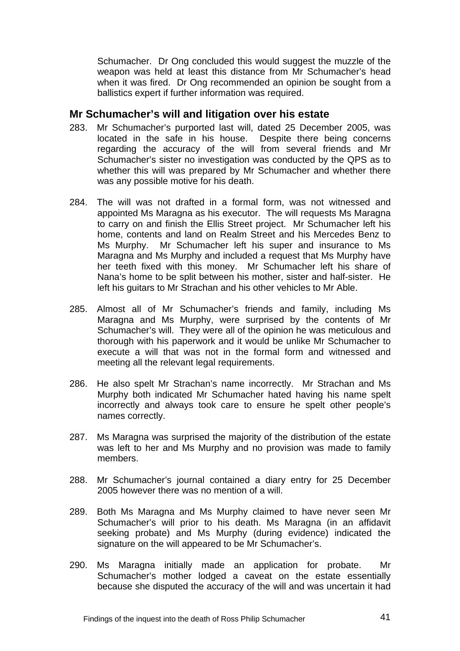<span id="page-41-0"></span>Schumacher. Dr Ong concluded this would suggest the muzzle of the weapon was held at least this distance from Mr Schumacher's head when it was fired. Dr Ong recommended an opinion be sought from a ballistics expert if further information was required.

## **Mr Schumacher's will and litigation over his estate**

- 283. Mr Schumacher's purported last will, dated 25 December 2005, was located in the safe in his house. Despite there being concerns regarding the accuracy of the will from several friends and Mr Schumacher's sister no investigation was conducted by the QPS as to whether this will was prepared by Mr Schumacher and whether there was any possible motive for his death.
- 284. The will was not drafted in a formal form, was not witnessed and appointed Ms Maragna as his executor. The will requests Ms Maragna to carry on and finish the Ellis Street project. Mr Schumacher left his home, contents and land on Realm Street and his Mercedes Benz to Ms Murphy. Mr Schumacher left his super and insurance to Ms Maragna and Ms Murphy and included a request that Ms Murphy have her teeth fixed with this money. Mr Schumacher left his share of Nana's home to be split between his mother, sister and half-sister. He left his guitars to Mr Strachan and his other vehicles to Mr Able.
- 285. Almost all of Mr Schumacher's friends and family, including Ms Maragna and Ms Murphy, were surprised by the contents of Mr Schumacher's will. They were all of the opinion he was meticulous and thorough with his paperwork and it would be unlike Mr Schumacher to execute a will that was not in the formal form and witnessed and meeting all the relevant legal requirements.
- 286. He also spelt Mr Strachan's name incorrectly. Mr Strachan and Ms Murphy both indicated Mr Schumacher hated having his name spelt incorrectly and always took care to ensure he spelt other people's names correctly.
- 287. Ms Maragna was surprised the majority of the distribution of the estate was left to her and Ms Murphy and no provision was made to family members.
- 288. Mr Schumacher's journal contained a diary entry for 25 December 2005 however there was no mention of a will.
- 289. Both Ms Maragna and Ms Murphy claimed to have never seen Mr Schumacher's will prior to his death. Ms Maragna (in an affidavit seeking probate) and Ms Murphy (during evidence) indicated the signature on the will appeared to be Mr Schumacher's.
- 290. Ms Maragna initially made an application for probate. Mr Schumacher's mother lodged a caveat on the estate essentially because she disputed the accuracy of the will and was uncertain it had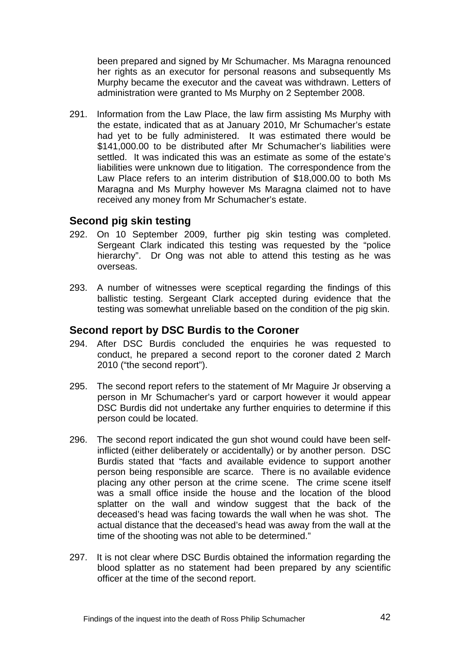<span id="page-42-0"></span>been prepared and signed by Mr Schumacher. Ms Maragna renounced her rights as an executor for personal reasons and subsequently Ms Murphy became the executor and the caveat was withdrawn. Letters of administration were granted to Ms Murphy on 2 September 2008.

291. Information from the Law Place, the law firm assisting Ms Murphy with the estate, indicated that as at January 2010, Mr Schumacher's estate had yet to be fully administered. It was estimated there would be \$141,000.00 to be distributed after Mr Schumacher's liabilities were settled. It was indicated this was an estimate as some of the estate's liabilities were unknown due to litigation. The correspondence from the Law Place refers to an interim distribution of \$18,000.00 to both Ms Maragna and Ms Murphy however Ms Maragna claimed not to have received any money from Mr Schumacher's estate.

## **Second pig skin testing**

- 292. On 10 September 2009, further pig skin testing was completed. Sergeant Clark indicated this testing was requested by the "police hierarchy". Dr Ong was not able to attend this testing as he was overseas.
- 293. A number of witnesses were sceptical regarding the findings of this ballistic testing. Sergeant Clark accepted during evidence that the testing was somewhat unreliable based on the condition of the pig skin.

## **Second report by DSC Burdis to the Coroner**

- 294. After DSC Burdis concluded the enquiries he was requested to conduct, he prepared a second report to the coroner dated 2 March 2010 ("the second report").
- 295. The second report refers to the statement of Mr Maguire Jr observing a person in Mr Schumacher's yard or carport however it would appear DSC Burdis did not undertake any further enquiries to determine if this person could be located.
- 296. The second report indicated the gun shot wound could have been selfinflicted (either deliberately or accidentally) or by another person. DSC Burdis stated that "facts and available evidence to support another person being responsible are scarce. There is no available evidence placing any other person at the crime scene. The crime scene itself was a small office inside the house and the location of the blood splatter on the wall and window suggest that the back of the deceased's head was facing towards the wall when he was shot. The actual distance that the deceased's head was away from the wall at the time of the shooting was not able to be determined."
- 297. It is not clear where DSC Burdis obtained the information regarding the blood splatter as no statement had been prepared by any scientific officer at the time of the second report.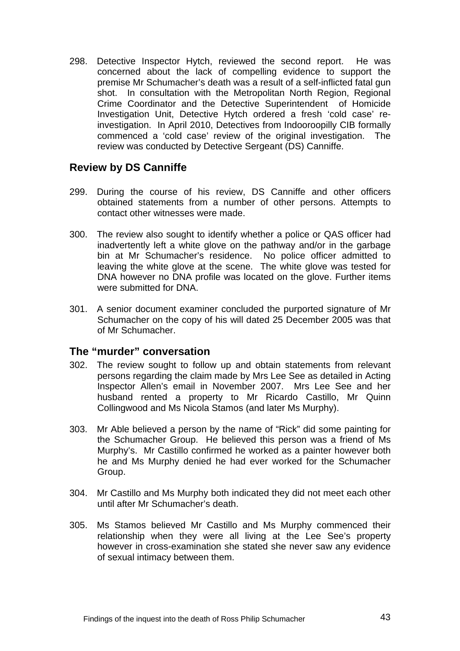<span id="page-43-0"></span>298. Detective Inspector Hytch, reviewed the second report. He was concerned about the lack of compelling evidence to support the premise Mr Schumacher's death was a result of a self-inflicted fatal gun shot. In consultation with the Metropolitan North Region, Regional Crime Coordinator and the Detective Superintendent of Homicide Investigation Unit, Detective Hytch ordered a fresh 'cold case' reinvestigation. In April 2010, Detectives from Indooroopilly CIB formally commenced a 'cold case' review of the original investigation. The review was conducted by Detective Sergeant (DS) Canniffe.

## **Review by DS Canniffe**

- 299. During the course of his review, DS Canniffe and other officers obtained statements from a number of other persons. Attempts to contact other witnesses were made.
- 300. The review also sought to identify whether a police or QAS officer had inadvertently left a white glove on the pathway and/or in the garbage bin at Mr Schumacher's residence. No police officer admitted to leaving the white glove at the scene. The white glove was tested for DNA however no DNA profile was located on the glove. Further items were submitted for DNA.
- 301. A senior document examiner concluded the purported signature of Mr Schumacher on the copy of his will dated 25 December 2005 was that of Mr Schumacher.

#### **The "murder" conversation**

- 302. The review sought to follow up and obtain statements from relevant persons regarding the claim made by Mrs Lee See as detailed in Acting Inspector Allen's email in November 2007. Mrs Lee See and her husband rented a property to Mr Ricardo Castillo, Mr Quinn Collingwood and Ms Nicola Stamos (and later Ms Murphy).
- 303. Mr Able believed a person by the name of "Rick" did some painting for the Schumacher Group. He believed this person was a friend of Ms Murphy's. Mr Castillo confirmed he worked as a painter however both he and Ms Murphy denied he had ever worked for the Schumacher Group.
- 304. Mr Castillo and Ms Murphy both indicated they did not meet each other until after Mr Schumacher's death.
- 305. Ms Stamos believed Mr Castillo and Ms Murphy commenced their relationship when they were all living at the Lee See's property however in cross-examination she stated she never saw any evidence of sexual intimacy between them.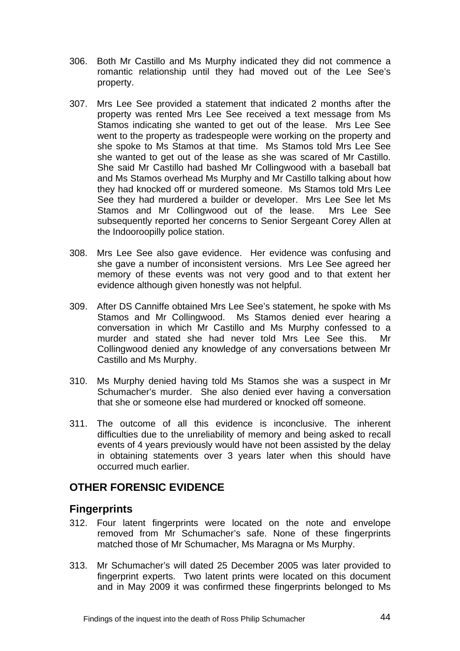- <span id="page-44-0"></span>306. Both Mr Castillo and Ms Murphy indicated they did not commence a romantic relationship until they had moved out of the Lee See's property.
- 307. Mrs Lee See provided a statement that indicated 2 months after the property was rented Mrs Lee See received a text message from Ms Stamos indicating she wanted to get out of the lease. Mrs Lee See went to the property as tradespeople were working on the property and she spoke to Ms Stamos at that time. Ms Stamos told Mrs Lee See she wanted to get out of the lease as she was scared of Mr Castillo. She said Mr Castillo had bashed Mr Collingwood with a baseball bat and Ms Stamos overhead Ms Murphy and Mr Castillo talking about how they had knocked off or murdered someone. Ms Stamos told Mrs Lee See they had murdered a builder or developer. Mrs Lee See let Ms Stamos and Mr Collingwood out of the lease. Mrs Lee See subsequently reported her concerns to Senior Sergeant Corey Allen at the Indooroopilly police station.
- 308. Mrs Lee See also gave evidence. Her evidence was confusing and she gave a number of inconsistent versions. Mrs Lee See agreed her memory of these events was not very good and to that extent her evidence although given honestly was not helpful.
- 309. After DS Canniffe obtained Mrs Lee See's statement, he spoke with Ms Stamos and Mr Collingwood. Ms Stamos denied ever hearing a conversation in which Mr Castillo and Ms Murphy confessed to a murder and stated she had never told Mrs Lee See this. Mr Collingwood denied any knowledge of any conversations between Mr Castillo and Ms Murphy.
- 310. Ms Murphy denied having told Ms Stamos she was a suspect in Mr Schumacher's murder. She also denied ever having a conversation that she or someone else had murdered or knocked off someone.
- 311. The outcome of all this evidence is inconclusive. The inherent difficulties due to the unreliability of memory and being asked to recall events of 4 years previously would have not been assisted by the delay in obtaining statements over 3 years later when this should have occurred much earlier.

## **OTHER FORENSIC EVIDENCE**

## **Fingerprints**

- 312. Four latent fingerprints were located on the note and envelope removed from Mr Schumacher's safe. None of these fingerprints matched those of Mr Schumacher, Ms Maragna or Ms Murphy.
- 313. Mr Schumacher's will dated 25 December 2005 was later provided to fingerprint experts. Two latent prints were located on this document and in May 2009 it was confirmed these fingerprints belonged to Ms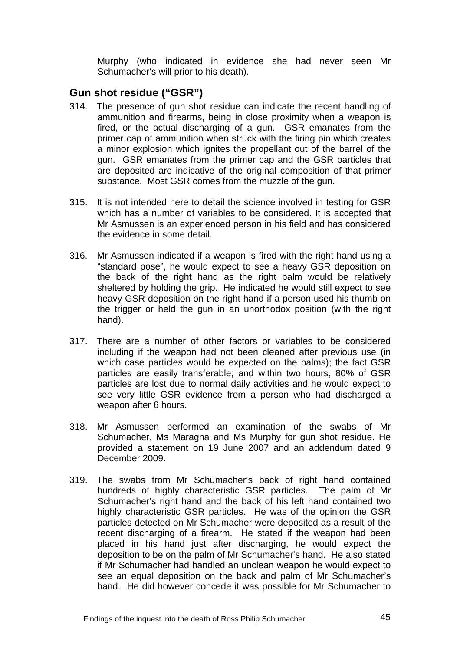Murphy (who indicated in evidence she had never seen Mr Schumacher's will prior to his death).

## <span id="page-45-0"></span>**Gun shot residue ("GSR")**

- 314. The presence of gun shot residue can indicate the recent handling of ammunition and firearms, being in close proximity when a weapon is fired, or the actual discharging of a gun. GSR emanates from the primer cap of ammunition when struck with the firing pin which creates a minor explosion which ignites the propellant out of the barrel of the gun. GSR emanates from the primer cap and the GSR particles that are deposited are indicative of the original composition of that primer substance. Most GSR comes from the muzzle of the gun.
- 315. It is not intended here to detail the science involved in testing for GSR which has a number of variables to be considered. It is accepted that Mr Asmussen is an experienced person in his field and has considered the evidence in some detail.
- 316. Mr Asmussen indicated if a weapon is fired with the right hand using a "standard pose", he would expect to see a heavy GSR deposition on the back of the right hand as the right palm would be relatively sheltered by holding the grip. He indicated he would still expect to see heavy GSR deposition on the right hand if a person used his thumb on the trigger or held the gun in an unorthodox position (with the right hand).
- 317. There are a number of other factors or variables to be considered including if the weapon had not been cleaned after previous use (in which case particles would be expected on the palms); the fact GSR particles are easily transferable; and within two hours, 80% of GSR particles are lost due to normal daily activities and he would expect to see very little GSR evidence from a person who had discharged a weapon after 6 hours.
- 318. Mr Asmussen performed an examination of the swabs of Mr Schumacher, Ms Maragna and Ms Murphy for gun shot residue. He provided a statement on 19 June 2007 and an addendum dated 9 December 2009.
- 319. The swabs from Mr Schumacher's back of right hand contained hundreds of highly characteristic GSR particles. The palm of Mr Schumacher's right hand and the back of his left hand contained two highly characteristic GSR particles. He was of the opinion the GSR particles detected on Mr Schumacher were deposited as a result of the recent discharging of a firearm. He stated if the weapon had been placed in his hand just after discharging, he would expect the deposition to be on the palm of Mr Schumacher's hand. He also stated if Mr Schumacher had handled an unclean weapon he would expect to see an equal deposition on the back and palm of Mr Schumacher's hand. He did however concede it was possible for Mr Schumacher to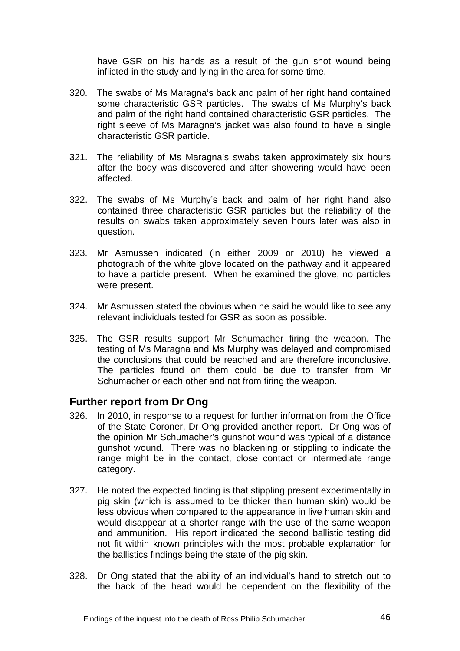<span id="page-46-0"></span>have GSR on his hands as a result of the gun shot wound being inflicted in the study and lying in the area for some time.

- 320. The swabs of Ms Maragna's back and palm of her right hand contained some characteristic GSR particles. The swabs of Ms Murphy's back and palm of the right hand contained characteristic GSR particles. The right sleeve of Ms Maragna's jacket was also found to have a single characteristic GSR particle.
- 321. The reliability of Ms Maragna's swabs taken approximately six hours after the body was discovered and after showering would have been affected.
- 322. The swabs of Ms Murphy's back and palm of her right hand also contained three characteristic GSR particles but the reliability of the results on swabs taken approximately seven hours later was also in question.
- 323. Mr Asmussen indicated (in either 2009 or 2010) he viewed a photograph of the white glove located on the pathway and it appeared to have a particle present. When he examined the glove, no particles were present.
- 324. Mr Asmussen stated the obvious when he said he would like to see any relevant individuals tested for GSR as soon as possible.
- 325. The GSR results support Mr Schumacher firing the weapon. The testing of Ms Maragna and Ms Murphy was delayed and compromised the conclusions that could be reached and are therefore inconclusive. The particles found on them could be due to transfer from Mr Schumacher or each other and not from firing the weapon.

## **Further report from Dr Ong**

- 326. In 2010, in response to a request for further information from the Office of the State Coroner, Dr Ong provided another report. Dr Ong was of the opinion Mr Schumacher's gunshot wound was typical of a distance gunshot wound. There was no blackening or stippling to indicate the range might be in the contact, close contact or intermediate range category.
- 327. He noted the expected finding is that stippling present experimentally in pig skin (which is assumed to be thicker than human skin) would be less obvious when compared to the appearance in live human skin and would disappear at a shorter range with the use of the same weapon and ammunition. His report indicated the second ballistic testing did not fit within known principles with the most probable explanation for the ballistics findings being the state of the pig skin.
- 328. Dr Ong stated that the ability of an individual's hand to stretch out to the back of the head would be dependent on the flexibility of the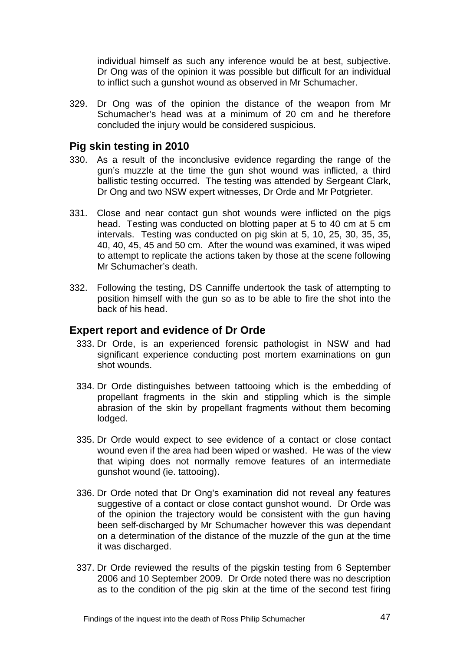<span id="page-47-0"></span>individual himself as such any inference would be at best, subjective. Dr Ong was of the opinion it was possible but difficult for an individual to inflict such a gunshot wound as observed in Mr Schumacher.

329. Dr Ong was of the opinion the distance of the weapon from Mr Schumacher's head was at a minimum of 20 cm and he therefore concluded the injury would be considered suspicious.

## **Pig skin testing in 2010**

- 330. As a result of the inconclusive evidence regarding the range of the gun's muzzle at the time the gun shot wound was inflicted, a third ballistic testing occurred. The testing was attended by Sergeant Clark, Dr Ong and two NSW expert witnesses, Dr Orde and Mr Potgrieter.
- 331. Close and near contact gun shot wounds were inflicted on the pigs head. Testing was conducted on blotting paper at 5 to 40 cm at 5 cm intervals. Testing was conducted on pig skin at 5, 10, 25, 30, 35, 35, 40, 40, 45, 45 and 50 cm. After the wound was examined, it was wiped to attempt to replicate the actions taken by those at the scene following Mr Schumacher's death.
- 332. Following the testing, DS Canniffe undertook the task of attempting to position himself with the gun so as to be able to fire the shot into the back of his head.

#### **Expert report and evidence of Dr Orde**

- 333. Dr Orde, is an experienced forensic pathologist in NSW and had significant experience conducting post mortem examinations on gun shot wounds.
- 334. Dr Orde distinguishes between tattooing which is the embedding of propellant fragments in the skin and stippling which is the simple abrasion of the skin by propellant fragments without them becoming lodged.
- 335. Dr Orde would expect to see evidence of a contact or close contact wound even if the area had been wiped or washed. He was of the view that wiping does not normally remove features of an intermediate gunshot wound (ie. tattooing).
- 336. Dr Orde noted that Dr Ong's examination did not reveal any features suggestive of a contact or close contact gunshot wound. Dr Orde was of the opinion the trajectory would be consistent with the gun having been self-discharged by Mr Schumacher however this was dependant on a determination of the distance of the muzzle of the gun at the time it was discharged.
- 337. Dr Orde reviewed the results of the pigskin testing from 6 September 2006 and 10 September 2009. Dr Orde noted there was no description as to the condition of the pig skin at the time of the second test firing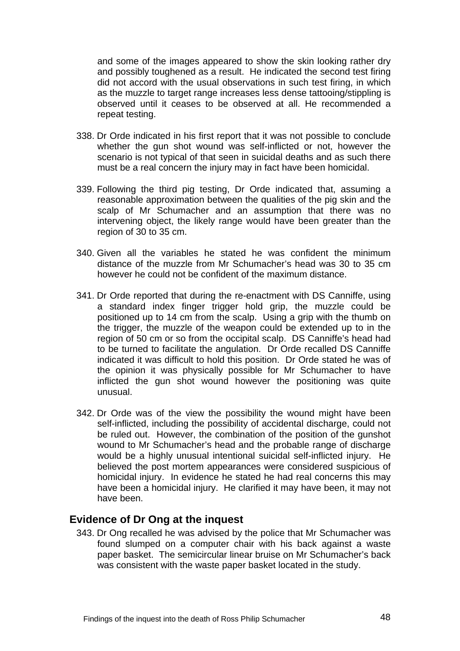<span id="page-48-0"></span>and some of the images appeared to show the skin looking rather dry and possibly toughened as a result. He indicated the second test firing did not accord with the usual observations in such test firing, in which as the muzzle to target range increases less dense tattooing/stippling is observed until it ceases to be observed at all. He recommended a repeat testing.

- 338. Dr Orde indicated in his first report that it was not possible to conclude whether the gun shot wound was self-inflicted or not, however the scenario is not typical of that seen in suicidal deaths and as such there must be a real concern the injury may in fact have been homicidal.
- 339. Following the third pig testing, Dr Orde indicated that, assuming a reasonable approximation between the qualities of the pig skin and the scalp of Mr Schumacher and an assumption that there was no intervening object, the likely range would have been greater than the region of 30 to 35 cm.
- 340. Given all the variables he stated he was confident the minimum distance of the muzzle from Mr Schumacher's head was 30 to 35 cm however he could not be confident of the maximum distance.
- 341. Dr Orde reported that during the re-enactment with DS Canniffe, using a standard index finger trigger hold grip, the muzzle could be positioned up to 14 cm from the scalp. Using a grip with the thumb on the trigger, the muzzle of the weapon could be extended up to in the region of 50 cm or so from the occipital scalp. DS Canniffe's head had to be turned to facilitate the angulation. Dr Orde recalled DS Canniffe indicated it was difficult to hold this position. Dr Orde stated he was of the opinion it was physically possible for Mr Schumacher to have inflicted the gun shot wound however the positioning was quite unusual.
- 342. Dr Orde was of the view the possibility the wound might have been self-inflicted, including the possibility of accidental discharge, could not be ruled out. However, the combination of the position of the gunshot wound to Mr Schumacher's head and the probable range of discharge would be a highly unusual intentional suicidal self-inflicted injury. He believed the post mortem appearances were considered suspicious of homicidal injury. In evidence he stated he had real concerns this may have been a homicidal injury. He clarified it may have been, it may not have been.

#### **Evidence of Dr Ong at the inquest**

343. Dr Ong recalled he was advised by the police that Mr Schumacher was found slumped on a computer chair with his back against a waste paper basket. The semicircular linear bruise on Mr Schumacher's back was consistent with the waste paper basket located in the study.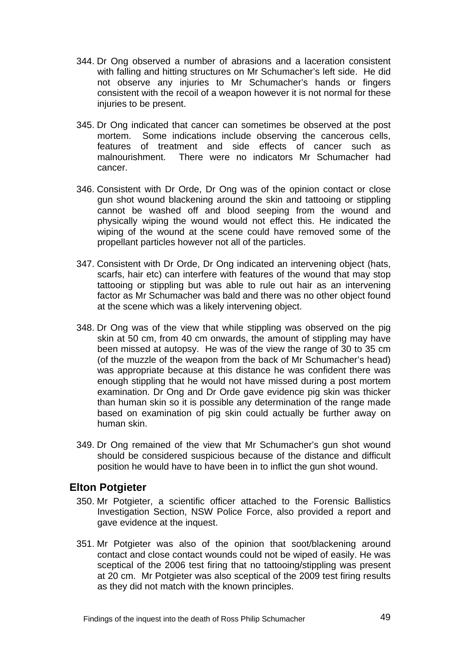- <span id="page-49-0"></span>344. Dr Ong observed a number of abrasions and a laceration consistent with falling and hitting structures on Mr Schumacher's left side. He did not observe any injuries to Mr Schumacher's hands or fingers consistent with the recoil of a weapon however it is not normal for these injuries to be present.
- 345. Dr Ong indicated that cancer can sometimes be observed at the post mortem. Some indications include observing the cancerous cells, features of treatment and side effects of cancer such as malnourishment. There were no indicators Mr Schumacher had cancer.
- 346. Consistent with Dr Orde, Dr Ong was of the opinion contact or close gun shot wound blackening around the skin and tattooing or stippling cannot be washed off and blood seeping from the wound and physically wiping the wound would not effect this. He indicated the wiping of the wound at the scene could have removed some of the propellant particles however not all of the particles.
- 347. Consistent with Dr Orde, Dr Ong indicated an intervening object (hats, scarfs, hair etc) can interfere with features of the wound that may stop tattooing or stippling but was able to rule out hair as an intervening factor as Mr Schumacher was bald and there was no other object found at the scene which was a likely intervening object.
- 348. Dr Ong was of the view that while stippling was observed on the pig skin at 50 cm, from 40 cm onwards, the amount of stippling may have been missed at autopsy. He was of the view the range of 30 to 35 cm (of the muzzle of the weapon from the back of Mr Schumacher's head) was appropriate because at this distance he was confident there was enough stippling that he would not have missed during a post mortem examination. Dr Ong and Dr Orde gave evidence pig skin was thicker than human skin so it is possible any determination of the range made based on examination of pig skin could actually be further away on human skin.
- 349. Dr Ong remained of the view that Mr Schumacher's gun shot wound should be considered suspicious because of the distance and difficult position he would have to have been in to inflict the gun shot wound.

#### **Elton Potgieter**

- 350. Mr Potgieter, a scientific officer attached to the Forensic Ballistics Investigation Section, NSW Police Force, also provided a report and gave evidence at the inquest.
- 351. Mr Potgieter was also of the opinion that soot/blackening around contact and close contact wounds could not be wiped of easily. He was sceptical of the 2006 test firing that no tattooing/stippling was present at 20 cm. Mr Potgieter was also sceptical of the 2009 test firing results as they did not match with the known principles.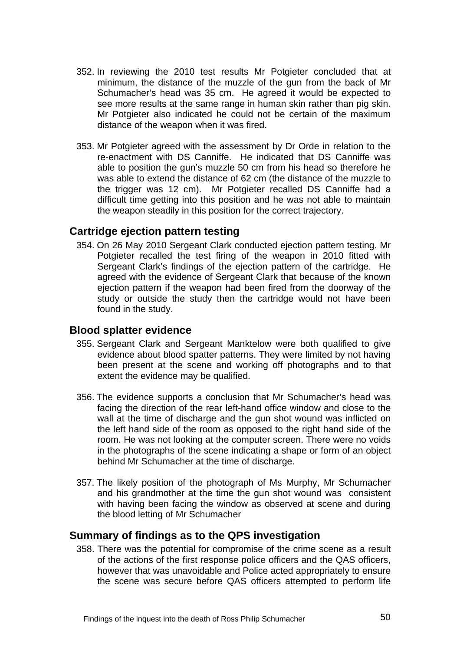- <span id="page-50-0"></span>352. In reviewing the 2010 test results Mr Potgieter concluded that at minimum, the distance of the muzzle of the gun from the back of Mr Schumacher's head was 35 cm. He agreed it would be expected to see more results at the same range in human skin rather than pig skin. Mr Potgieter also indicated he could not be certain of the maximum distance of the weapon when it was fired.
- 353. Mr Potgieter agreed with the assessment by Dr Orde in relation to the re-enactment with DS Canniffe. He indicated that DS Canniffe was able to position the gun's muzzle 50 cm from his head so therefore he was able to extend the distance of 62 cm (the distance of the muzzle to the trigger was 12 cm). Mr Potgieter recalled DS Canniffe had a difficult time getting into this position and he was not able to maintain the weapon steadily in this position for the correct trajectory.

#### **Cartridge ejection pattern testing**

354. On 26 May 2010 Sergeant Clark conducted ejection pattern testing. Mr Potgieter recalled the test firing of the weapon in 2010 fitted with Sergeant Clark's findings of the ejection pattern of the cartridge. He agreed with the evidence of Sergeant Clark that because of the known ejection pattern if the weapon had been fired from the doorway of the study or outside the study then the cartridge would not have been found in the study.

#### **Blood splatter evidence**

- 355. Sergeant Clark and Sergeant Manktelow were both qualified to give evidence about blood spatter patterns. They were limited by not having been present at the scene and working off photographs and to that extent the evidence may be qualified.
- 356. The evidence supports a conclusion that Mr Schumacher's head was facing the direction of the rear left-hand office window and close to the wall at the time of discharge and the gun shot wound was inflicted on the left hand side of the room as opposed to the right hand side of the room. He was not looking at the computer screen. There were no voids in the photographs of the scene indicating a shape or form of an object behind Mr Schumacher at the time of discharge.
- 357. The likely position of the photograph of Ms Murphy, Mr Schumacher and his grandmother at the time the gun shot wound was consistent with having been facing the window as observed at scene and during the blood letting of Mr Schumacher

#### **Summary of findings as to the QPS investigation**

358. There was the potential for compromise of the crime scene as a result of the actions of the first response police officers and the QAS officers, however that was unavoidable and Police acted appropriately to ensure the scene was secure before QAS officers attempted to perform life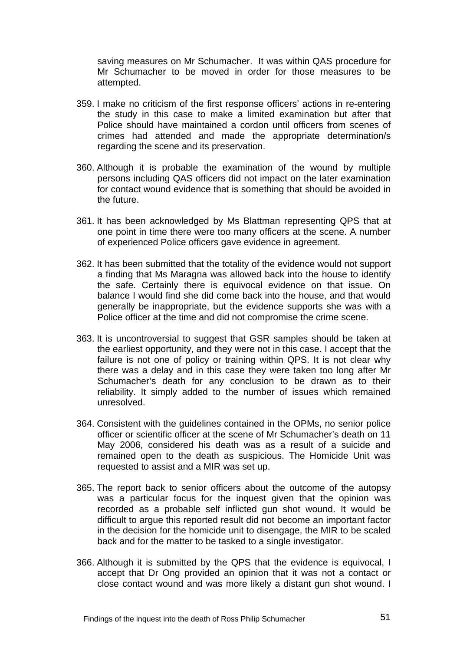saving measures on Mr Schumacher. It was within QAS procedure for Mr Schumacher to be moved in order for those measures to be attempted.

- 359. I make no criticism of the first response officers' actions in re-entering the study in this case to make a limited examination but after that Police should have maintained a cordon until officers from scenes of crimes had attended and made the appropriate determination/s regarding the scene and its preservation.
- 360. Although it is probable the examination of the wound by multiple persons including QAS officers did not impact on the later examination for contact wound evidence that is something that should be avoided in the future.
- 361. It has been acknowledged by Ms Blattman representing QPS that at one point in time there were too many officers at the scene. A number of experienced Police officers gave evidence in agreement.
- 362. It has been submitted that the totality of the evidence would not support a finding that Ms Maragna was allowed back into the house to identify the safe. Certainly there is equivocal evidence on that issue. On balance I would find she did come back into the house, and that would generally be inappropriate, but the evidence supports she was with a Police officer at the time and did not compromise the crime scene.
- 363. It is uncontroversial to suggest that GSR samples should be taken at the earliest opportunity, and they were not in this case. I accept that the failure is not one of policy or training within QPS. It is not clear why there was a delay and in this case they were taken too long after Mr Schumacher's death for any conclusion to be drawn as to their reliability. It simply added to the number of issues which remained unresolved.
- 364. Consistent with the guidelines contained in the OPMs, no senior police officer or scientific officer at the scene of Mr Schumacher's death on 11 May 2006, considered his death was as a result of a suicide and remained open to the death as suspicious. The Homicide Unit was requested to assist and a MIR was set up.
- 365. The report back to senior officers about the outcome of the autopsy was a particular focus for the inquest given that the opinion was recorded as a probable self inflicted gun shot wound. It would be difficult to argue this reported result did not become an important factor in the decision for the homicide unit to disengage, the MIR to be scaled back and for the matter to be tasked to a single investigator.
- 366. Although it is submitted by the QPS that the evidence is equivocal, I accept that Dr Ong provided an opinion that it was not a contact or close contact wound and was more likely a distant gun shot wound. I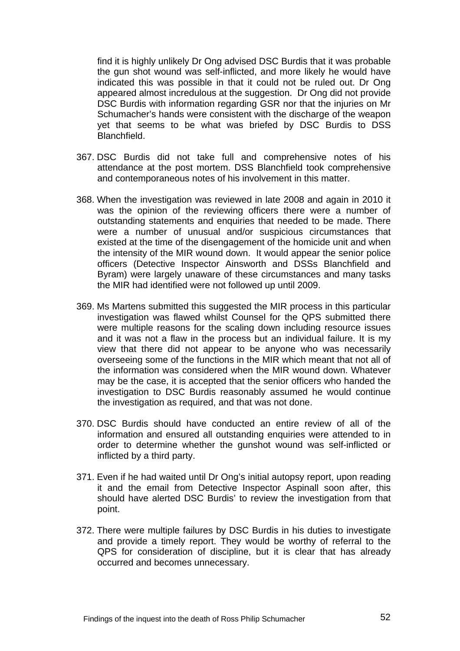find it is highly unlikely Dr Ong advised DSC Burdis that it was probable the gun shot wound was self-inflicted, and more likely he would have indicated this was possible in that it could not be ruled out. Dr Ong appeared almost incredulous at the suggestion. Dr Ong did not provide DSC Burdis with information regarding GSR nor that the injuries on Mr Schumacher's hands were consistent with the discharge of the weapon yet that seems to be what was briefed by DSC Burdis to DSS Blanchfield.

- 367. DSC Burdis did not take full and comprehensive notes of his attendance at the post mortem. DSS Blanchfield took comprehensive and contemporaneous notes of his involvement in this matter.
- 368. When the investigation was reviewed in late 2008 and again in 2010 it was the opinion of the reviewing officers there were a number of outstanding statements and enquiries that needed to be made. There were a number of unusual and/or suspicious circumstances that existed at the time of the disengagement of the homicide unit and when the intensity of the MIR wound down. It would appear the senior police officers (Detective Inspector Ainsworth and DSSs Blanchfield and Byram) were largely unaware of these circumstances and many tasks the MIR had identified were not followed up until 2009.
- 369. Ms Martens submitted this suggested the MIR process in this particular investigation was flawed whilst Counsel for the QPS submitted there were multiple reasons for the scaling down including resource issues and it was not a flaw in the process but an individual failure. It is my view that there did not appear to be anyone who was necessarily overseeing some of the functions in the MIR which meant that not all of the information was considered when the MIR wound down. Whatever may be the case, it is accepted that the senior officers who handed the investigation to DSC Burdis reasonably assumed he would continue the investigation as required, and that was not done.
- 370. DSC Burdis should have conducted an entire review of all of the information and ensured all outstanding enquiries were attended to in order to determine whether the gunshot wound was self-inflicted or inflicted by a third party.
- 371. Even if he had waited until Dr Ong's initial autopsy report, upon reading it and the email from Detective Inspector Aspinall soon after, this should have alerted DSC Burdis' to review the investigation from that point.
- 372. There were multiple failures by DSC Burdis in his duties to investigate and provide a timely report. They would be worthy of referral to the QPS for consideration of discipline, but it is clear that has already occurred and becomes unnecessary.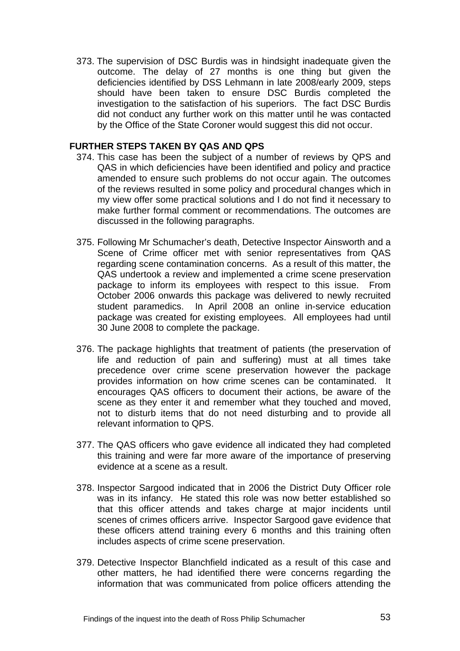373. The supervision of DSC Burdis was in hindsight inadequate given the outcome. The delay of 27 months is one thing but given the deficiencies identified by DSS Lehmann in late 2008/early 2009, steps should have been taken to ensure DSC Burdis completed the investigation to the satisfaction of his superiors. The fact DSC Burdis did not conduct any further work on this matter until he was contacted by the Office of the State Coroner would suggest this did not occur.

#### **FURTHER STEPS TAKEN BY QAS AND QPS**

- 374. This case has been the subject of a number of reviews by QPS and QAS in which deficiencies have been identified and policy and practice amended to ensure such problems do not occur again. The outcomes of the reviews resulted in some policy and procedural changes which in my view offer some practical solutions and I do not find it necessary to make further formal comment or recommendations. The outcomes are discussed in the following paragraphs.
- 375. Following Mr Schumacher's death, Detective Inspector Ainsworth and a Scene of Crime officer met with senior representatives from QAS regarding scene contamination concerns. As a result of this matter, the QAS undertook a review and implemented a crime scene preservation package to inform its employees with respect to this issue. From October 2006 onwards this package was delivered to newly recruited student paramedics. In April 2008 an online in-service education package was created for existing employees. All employees had until 30 June 2008 to complete the package.
- 376. The package highlights that treatment of patients (the preservation of life and reduction of pain and suffering) must at all times take precedence over crime scene preservation however the package provides information on how crime scenes can be contaminated. It encourages QAS officers to document their actions, be aware of the scene as they enter it and remember what they touched and moved, not to disturb items that do not need disturbing and to provide all relevant information to QPS.
- 377. The QAS officers who gave evidence all indicated they had completed this training and were far more aware of the importance of preserving evidence at a scene as a result.
- 378. Inspector Sargood indicated that in 2006 the District Duty Officer role was in its infancy. He stated this role was now better established so that this officer attends and takes charge at major incidents until scenes of crimes officers arrive. Inspector Sargood gave evidence that these officers attend training every 6 months and this training often includes aspects of crime scene preservation.
- 379. Detective Inspector Blanchfield indicated as a result of this case and other matters, he had identified there were concerns regarding the information that was communicated from police officers attending the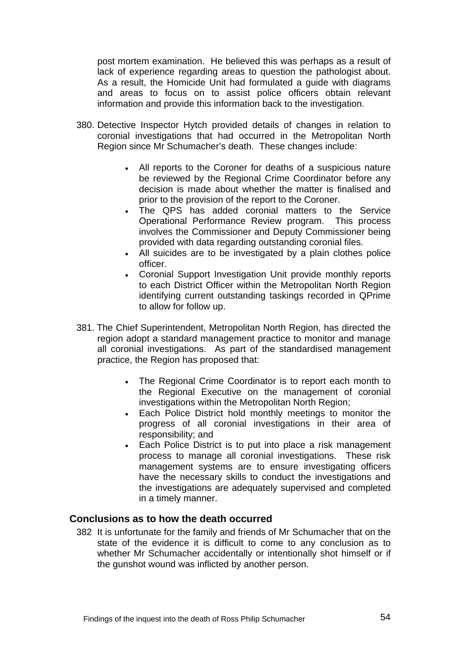<span id="page-54-0"></span>post mortem examination. He believed this was perhaps as a result of lack of experience regarding areas to question the pathologist about. As a result, the Homicide Unit had formulated a guide with diagrams and areas to focus on to assist police officers obtain relevant information and provide this information back to the investigation.

- 380. Detective Inspector Hytch provided details of changes in relation to coronial investigations that had occurred in the Metropolitan North Region since Mr Schumacher's death. These changes include:
	- All reports to the Coroner for deaths of a suspicious nature be reviewed by the Regional Crime Coordinator before any decision is made about whether the matter is finalised and prior to the provision of the report to the Coroner.
	- The QPS has added coronial matters to the Service Operational Performance Review program. This process involves the Commissioner and Deputy Commissioner being provided with data regarding outstanding coronial files.
	- All suicides are to be investigated by a plain clothes police officer.
	- Coronial Support Investigation Unit provide monthly reports to each District Officer within the Metropolitan North Region identifying current outstanding taskings recorded in QPrime to allow for follow up.
- 381. The Chief Superintendent, Metropolitan North Region, has directed the region adopt a standard management practice to monitor and manage all coronial investigations. As part of the standardised management practice, the Region has proposed that:
	- The Regional Crime Coordinator is to report each month to the Regional Executive on the management of coronial investigations within the Metropolitan North Region;
	- Each Police District hold monthly meetings to monitor the progress of all coronial investigations in their area of responsibility; and
	- Each Police District is to put into place a risk management process to manage all coronial investigations. These risk management systems are to ensure investigating officers have the necessary skills to conduct the investigations and the investigations are adequately supervised and completed in a timely manner.

#### **Conclusions as to how the death occurred**

382 It is unfortunate for the family and friends of Mr Schumacher that on the state of the evidence it is difficult to come to any conclusion as to whether Mr Schumacher accidentally or intentionally shot himself or if the gunshot wound was inflicted by another person.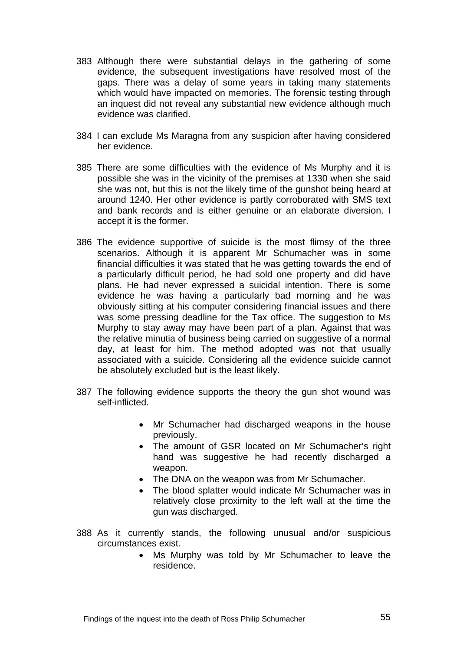- 383 Although there were substantial delays in the gathering of some evidence, the subsequent investigations have resolved most of the gaps. There was a delay of some years in taking many statements which would have impacted on memories. The forensic testing through an inquest did not reveal any substantial new evidence although much evidence was clarified.
- 384 I can exclude Ms Maragna from any suspicion after having considered her evidence.
- 385 There are some difficulties with the evidence of Ms Murphy and it is possible she was in the vicinity of the premises at 1330 when she said she was not, but this is not the likely time of the gunshot being heard at around 1240. Her other evidence is partly corroborated with SMS text and bank records and is either genuine or an elaborate diversion. I accept it is the former.
- 386 The evidence supportive of suicide is the most flimsy of the three scenarios. Although it is apparent Mr Schumacher was in some financial difficulties it was stated that he was getting towards the end of a particularly difficult period, he had sold one property and did have plans. He had never expressed a suicidal intention. There is some evidence he was having a particularly bad morning and he was obviously sitting at his computer considering financial issues and there was some pressing deadline for the Tax office. The suggestion to Ms Murphy to stay away may have been part of a plan. Against that was the relative minutia of business being carried on suggestive of a normal day, at least for him. The method adopted was not that usually associated with a suicide. Considering all the evidence suicide cannot be absolutely excluded but is the least likely.
- 387 The following evidence supports the theory the gun shot wound was self-inflicted.
	- Mr Schumacher had discharged weapons in the house previously.
	- The amount of GSR located on Mr Schumacher's right hand was suggestive he had recently discharged a weapon.
	- The DNA on the weapon was from Mr Schumacher.
	- The blood splatter would indicate Mr Schumacher was in relatively close proximity to the left wall at the time the gun was discharged.
- 388 As it currently stands, the following unusual and/or suspicious circumstances exist.
	- Ms Murphy was told by Mr Schumacher to leave the residence.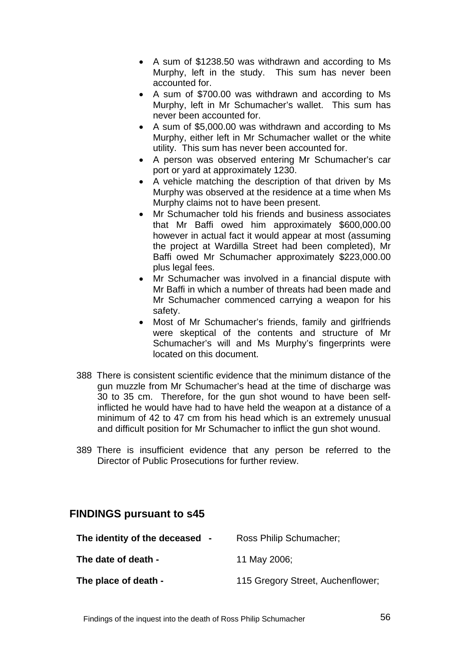- <span id="page-56-0"></span>• A sum of \$1238.50 was withdrawn and according to Ms Murphy, left in the study. This sum has never been accounted for.
- A sum of \$700.00 was withdrawn and according to Ms Murphy, left in Mr Schumacher's wallet. This sum has never been accounted for.
- A sum of \$5,000.00 was withdrawn and according to Ms Murphy, either left in Mr Schumacher wallet or the white utility. This sum has never been accounted for.
- A person was observed entering Mr Schumacher's car port or yard at approximately 1230.
- A vehicle matching the description of that driven by Ms Murphy was observed at the residence at a time when Ms Murphy claims not to have been present.
- Mr Schumacher told his friends and business associates that Mr Baffi owed him approximately \$600,000.00 however in actual fact it would appear at most (assuming the project at Wardilla Street had been completed), Mr Baffi owed Mr Schumacher approximately \$223,000.00 plus legal fees.
- Mr Schumacher was involved in a financial dispute with Mr Baffi in which a number of threats had been made and Mr Schumacher commenced carrying a weapon for his safety.
- Most of Mr Schumacher's friends, family and girlfriends were skeptical of the contents and structure of Mr Schumacher's will and Ms Murphy's fingerprints were located on this document.
- 388 There is consistent scientific evidence that the minimum distance of the gun muzzle from Mr Schumacher's head at the time of discharge was 30 to 35 cm. Therefore, for the gun shot wound to have been selfinflicted he would have had to have held the weapon at a distance of a minimum of 42 to 47 cm from his head which is an extremely unusual and difficult position for Mr Schumacher to inflict the gun shot wound.
- 389 There is insufficient evidence that any person be referred to the Director of Public Prosecutions for further review.

## **FINDINGS pursuant to s45**

| The identity of the deceased - | Ross Philip Schumacher;           |
|--------------------------------|-----------------------------------|
| The date of death -            | 11 May 2006;                      |
| The place of death -           | 115 Gregory Street, Auchenflower; |